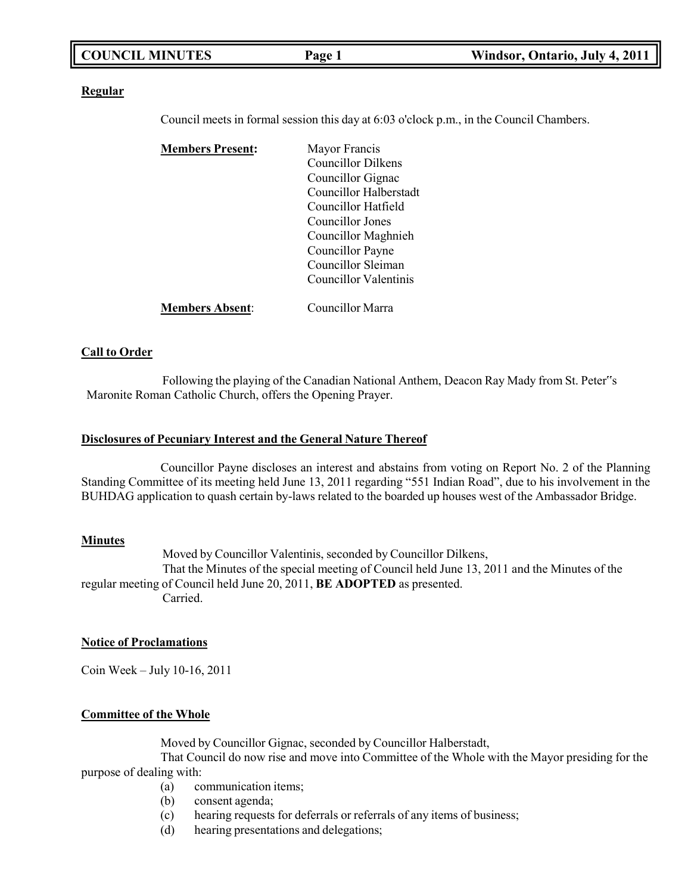#### **Regular**

Council meets in formal session this day at 6:03 o'clock p.m., in the Council Chambers.

| <b>Members Present:</b> | Mayor Francis             |
|-------------------------|---------------------------|
|                         | <b>Councillor Dilkens</b> |
|                         | Councillor Gignac         |
|                         | Councillor Halberstadt    |
|                         | Councillor Hatfield       |
|                         | Councillor Jones          |
|                         | Councillor Maghnieh       |
|                         | Councillor Payne          |
|                         | Councillor Sleiman        |
|                         | Councillor Valentinis     |
| <b>Members Absent:</b>  | Councillor Marra          |

#### **Call to Order**

Following the playing of the Canadian National Anthem, Deacon Ray Mady from St. Peter"s Maronite Roman Catholic Church, offers the Opening Prayer.

#### **Disclosures of Pecuniary Interest and the General Nature Thereof**

Councillor Payne discloses an interest and abstains from voting on Report No. 2 of the Planning Standing Committee of its meeting held June 13, 2011 regarding "551 Indian Road", due to his involvement in the BUHDAG application to quash certain by-laws related to the boarded up houses west of the Ambassador Bridge.

#### **Minutes**

Moved by Councillor Valentinis, seconded by Councillor Dilkens, That the Minutes of the special meeting of Council held June 13, 2011 and the Minutes of the regular meeting of Council held June 20, 2011, **BE ADOPTED** as presented. Carried.

#### **Notice of Proclamations**

Coin Week – July 10-16, 2011

#### **Committee of the Whole**

Moved by Councillor Gignac, seconded by Councillor Halberstadt,

That Council do now rise and move into Committee of the Whole with the Mayor presiding for the purpose of dealing with:

- (a) communication items;
- (b) consent agenda;
- (c) hearing requests for deferrals or referrals of any items of business;
- (d) hearing presentations and delegations;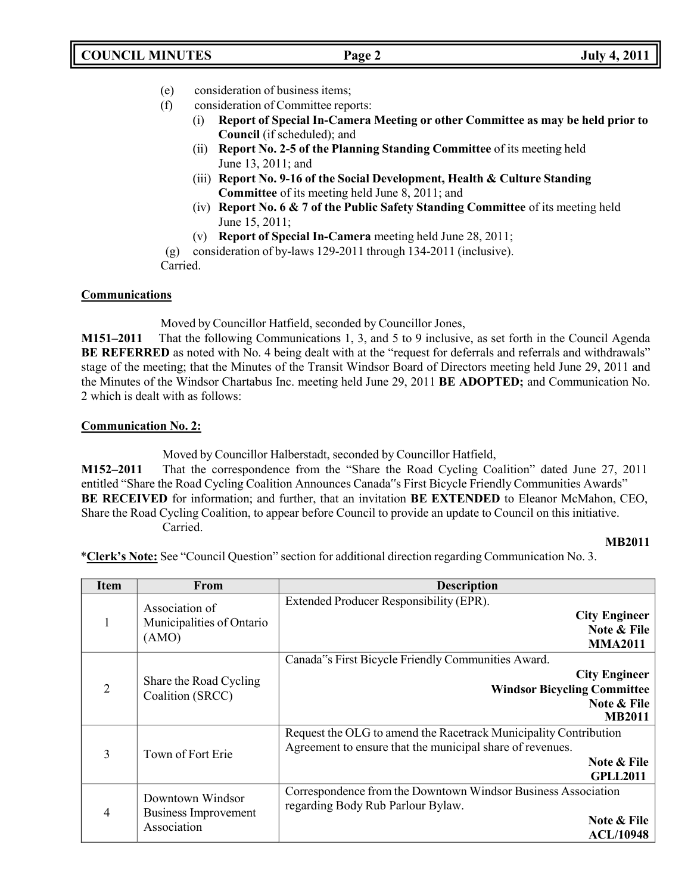- (e) consideration of business items;
- (f) consideration of Committee reports:
	- (i) **Report of Special In-Camera Meeting or other Committee as may be held prior to Council** (if scheduled); and
	- (ii) **Report No. 2-5 of the Planning Standing Committee** of its meeting held June 13, 2011; and
	- (iii) **Report No. 9-16 of the Social Development, Health & Culture Standing Committee** of its meeting held June 8, 2011; and
	- (iv) **Report No. 6 & 7 of the Public Safety Standing Committee** of its meeting held June 15, 2011;
	- (v) **Report of Special In-Camera** meeting held June 28, 2011;

(g) consideration of by-laws 129-2011 through 134-2011 (inclusive).

Carried.

# **Communications**

Moved by Councillor Hatfield, seconded by Councillor Jones,

**M151–2011** That the following Communications 1, 3, and 5 to 9 inclusive, as set forth in the Council Agenda **BE REFERRED** as noted with No. 4 being dealt with at the "request for deferrals and referrals and withdrawals" stage of the meeting; that the Minutes of the Transit Windsor Board of Directors meeting held June 29, 2011 and the Minutes of the Windsor Chartabus Inc. meeting held June 29, 2011 **BE ADOPTED;** and Communication No. 2 which is dealt with as follows:

# **Communication No. 2:**

Moved by Councillor Halberstadt, seconded by Councillor Hatfield,

**M152–2011** That the correspondence from the "Share the Road Cycling Coalition" dated June 27, 2011 entitled "Share the Road Cycling Coalition Announces Canada"s First Bicycle Friendly Communities Awards" **BE RECEIVED** for information; and further, that an invitation **BE EXTENDED** to Eleanor McMahon, CEO, Share the Road Cycling Coalition, to appear before Council to provide an update to Council on this initiative. Carried.

## **MB2011**

\***Clerk's Note:** See "Council Question" section for additional direction regarding Communication No. 3.

| <b>Item</b>    | From                                                    | <b>Description</b>                                                                                                                                              |
|----------------|---------------------------------------------------------|-----------------------------------------------------------------------------------------------------------------------------------------------------------------|
|                | Association of<br>Municipalities of Ontario<br>(AMO)    | Extended Producer Responsibility (EPR).<br><b>City Engineer</b><br>Note & File<br><b>MMA2011</b>                                                                |
| $\overline{2}$ | Share the Road Cycling<br>Coalition (SRCC)              | Canada"s First Bicycle Friendly Communities Award.<br><b>City Engineer</b><br><b>Windsor Bicycling Committee</b><br>Note & File<br><b>MB2011</b>                |
| 3              | Town of Fort Erie                                       | Request the OLG to amend the Racetrack Municipality Contribution<br>Agreement to ensure that the municipal share of revenues.<br>Note & File<br><b>GPLL2011</b> |
| $\overline{4}$ | Downtown Windsor<br>Business Improvement<br>Association | Correspondence from the Downtown Windsor Business Association<br>regarding Body Rub Parlour Bylaw.<br>Note & File<br><b>ACL/10948</b>                           |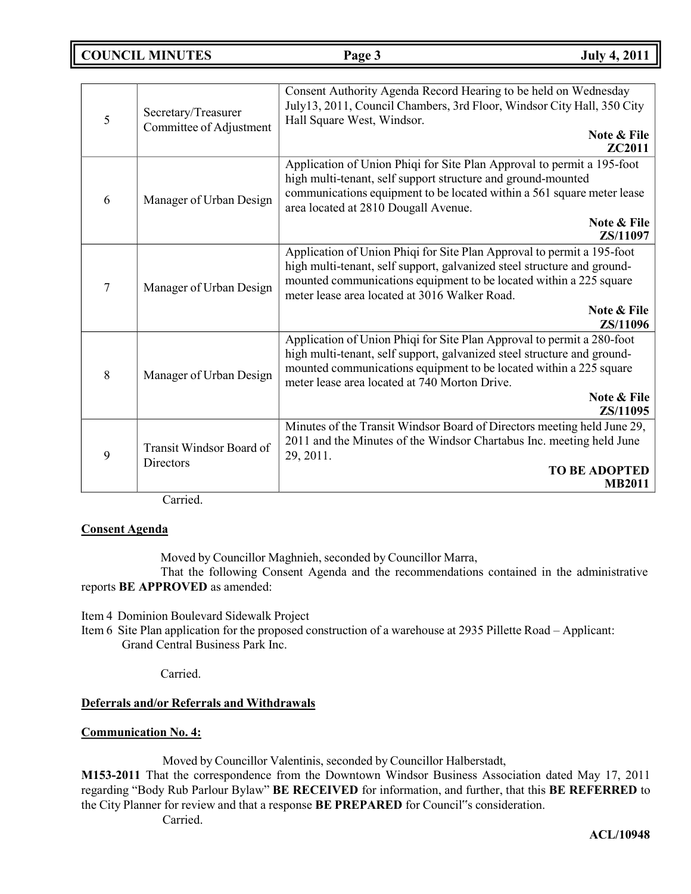# **COUNCIL MINUTES Page 3 July 4, 2011**

| 5 | Secretary/Treasurer<br>Committee of Adjustment | Consent Authority Agenda Record Hearing to be held on Wednesday<br>July13, 2011, Council Chambers, 3rd Floor, Windsor City Hall, 350 City<br>Hall Square West, Windsor.<br>Note & File<br><b>ZC2011</b>                                                                                             |
|---|------------------------------------------------|-----------------------------------------------------------------------------------------------------------------------------------------------------------------------------------------------------------------------------------------------------------------------------------------------------|
| 6 | Manager of Urban Design                        | Application of Union Phiqi for Site Plan Approval to permit a 195-foot<br>high multi-tenant, self support structure and ground-mounted<br>communications equipment to be located within a 561 square meter lease<br>area located at 2810 Dougall Avenue.<br><b>Note &amp; File</b><br>ZS/11097      |
| 7 | Manager of Urban Design                        | Application of Union Phiqi for Site Plan Approval to permit a 195-foot<br>high multi-tenant, self support, galvanized steel structure and ground-<br>mounted communications equipment to be located within a 225 square<br>meter lease area located at 3016 Walker Road.<br>Note & File<br>ZS/11096 |
| 8 | Manager of Urban Design                        | Application of Union Phiqi for Site Plan Approval to permit a 280-foot<br>high multi-tenant, self support, galvanized steel structure and ground-<br>mounted communications equipment to be located within a 225 square<br>meter lease area located at 740 Morton Drive.<br>Note & File<br>ZS/11095 |
| 9 | Transit Windsor Board of<br>Directors          | Minutes of the Transit Windsor Board of Directors meeting held June 29,<br>2011 and the Minutes of the Windsor Chartabus Inc. meeting held June<br>29, 2011.<br><b>TO BE ADOPTED</b><br><b>MB2011</b>                                                                                               |

Carried.

# **Consent Agenda**

Moved by Councillor Maghnieh, seconded by Councillor Marra,

That the following Consent Agenda and the recommendations contained in the administrative reports **BE APPROVED** as amended:

Item 4 Dominion Boulevard Sidewalk Project

Item 6 Site Plan application for the proposed construction of a warehouse at 2935 Pillette Road – Applicant: Grand Central Business Park Inc.

Carried.

## **Deferrals and/or Referrals and Withdrawals**

## **Communication No. 4:**

Moved by Councillor Valentinis, seconded by Councillor Halberstadt,

**M153-2011** That the correspondence from the Downtown Windsor Business Association dated May 17, 2011 regarding "Body Rub Parlour Bylaw" **BE RECEIVED** for information, and further, that this **BE REFERRED** to the City Planner for review and that a response **BE PREPARED** for Council"s consideration.

Carried.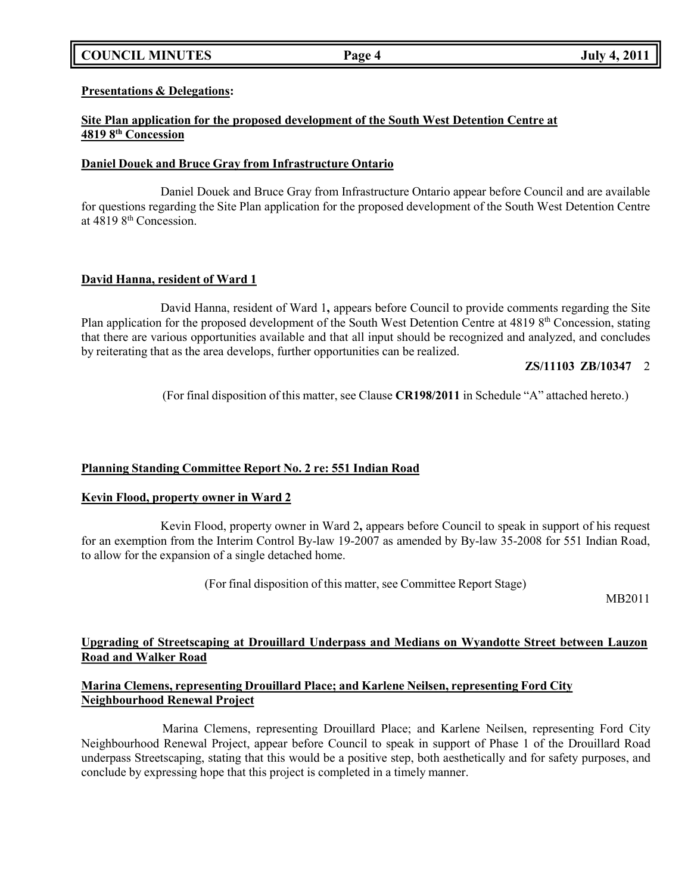# **COUNCIL MINUTES Page 4 July 4, 2011**

**Presentations & Delegations:**

## **Site Plan application for the proposed development of the South West Detention Centre at 4819 8 th Concession**

#### **Daniel Douek and Bruce Gray from Infrastructure Ontario**

Daniel Douek and Bruce Gray from Infrastructure Ontario appear before Council and are available for questions regarding the Site Plan application for the proposed development of the South West Detention Centre at 4819 8th Concession.

# **David Hanna, resident of Ward 1**

David Hanna, resident of Ward 1**,** appears before Council to provide comments regarding the Site Plan application for the proposed development of the South West Detention Centre at 4819 8<sup>th</sup> Concession, stating that there are various opportunities available and that all input should be recognized and analyzed, and concludes by reiterating that as the area develops, further opportunities can be realized.

# **ZS/11103 ZB/10347** 2

(For final disposition of this matter, see Clause **CR198/2011** in Schedule "A" attached hereto.)

# **Planning Standing Committee Report No. 2 re: 551 Indian Road**

## **Kevin Flood, property owner in Ward 2**

Kevin Flood, property owner in Ward 2**,** appears before Council to speak in support of his request for an exemption from the Interim Control By-law 19-2007 as amended by By-law 35-2008 for 551 Indian Road, to allow for the expansion of a single detached home.

(For final disposition of this matter, see Committee Report Stage)

MB2011

# **Upgrading of Streetscaping at Drouillard Underpass and Medians on Wyandotte Street between Lauzon Road and Walker Road**

## **Marina Clemens, representing Drouillard Place; and Karlene Neilsen, representing Ford City Neighbourhood Renewal Project**

Marina Clemens, representing Drouillard Place; and Karlene Neilsen, representing Ford City Neighbourhood Renewal Project, appear before Council to speak in support of Phase 1 of the Drouillard Road underpass Streetscaping, stating that this would be a positive step, both aesthetically and for safety purposes, and conclude by expressing hope that this project is completed in a timely manner.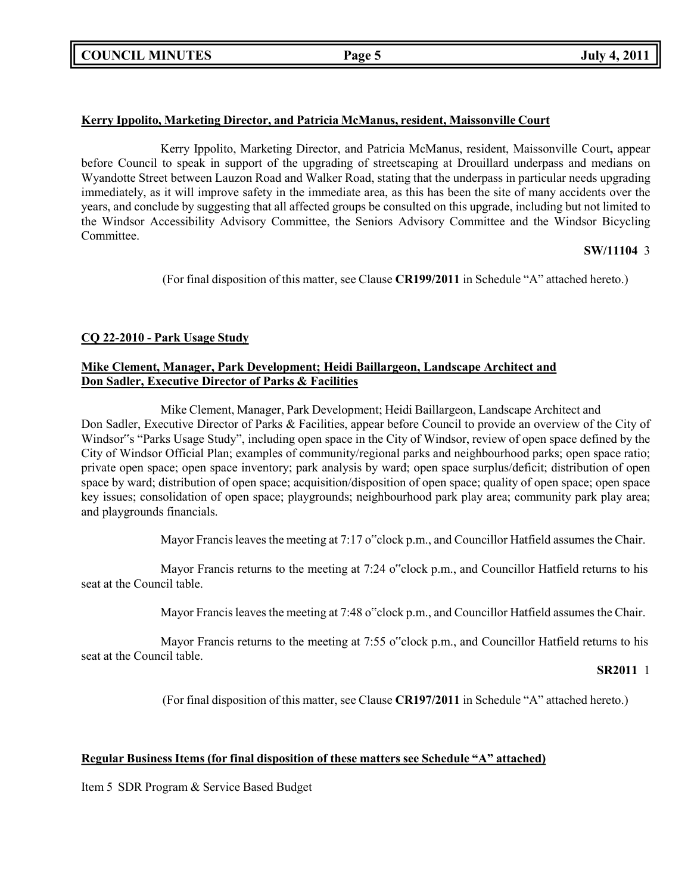# **Kerry Ippolito, Marketing Director, and Patricia McManus, resident, Maissonville Court**

Kerry Ippolito, Marketing Director, and Patricia McManus, resident, Maissonville Court**,** appear before Council to speak in support of the upgrading of streetscaping at Drouillard underpass and medians on Wyandotte Street between Lauzon Road and Walker Road, stating that the underpass in particular needs upgrading immediately, as it will improve safety in the immediate area, as this has been the site of many accidents over the years, and conclude by suggesting that all affected groups be consulted on this upgrade, including but not limited to the Windsor Accessibility Advisory Committee, the Seniors Advisory Committee and the Windsor Bicycling Committee.

# **SW/11104** 3

(For final disposition of this matter, see Clause **CR199/2011** in Schedule "A" attached hereto.)

# **CQ 22-2010 - Park Usage Study**

# **Mike Clement, Manager, Park Development; Heidi Baillargeon, Landscape Architect and Don Sadler, Executive Director of Parks & Facilities**

Mike Clement, Manager, Park Development; Heidi Baillargeon, Landscape Architect and Don Sadler, Executive Director of Parks & Facilities, appear before Council to provide an overview of the City of Windsor"s "Parks Usage Study", including open space in the City of Windsor, review of open space defined by the City of Windsor Official Plan; examples of community/regional parks and neighbourhood parks; open space ratio; private open space; open space inventory; park analysis by ward; open space surplus/deficit; distribution of open space by ward; distribution of open space; acquisition/disposition of open space; quality of open space; open space key issues; consolidation of open space; playgrounds; neighbourhood park play area; community park play area; and playgrounds financials.

Mayor Francis leaves the meeting at 7:17 o"clock p.m., and Councillor Hatfield assumes the Chair.

Mayor Francis returns to the meeting at 7:24 o"clock p.m., and Councillor Hatfield returns to his seat at the Council table.

Mayor Francis leaves the meeting at 7:48 o"clock p.m., and Councillor Hatfield assumes the Chair.

Mayor Francis returns to the meeting at 7:55 o"clock p.m., and Councillor Hatfield returns to his seat at the Council table.

#### **SR2011** 1

(For final disposition of this matter, see Clause **CR197/2011** in Schedule "A" attached hereto.)

# **Regular Business Items (for final disposition of these matters see Schedule "A" attached)**

Item 5 SDR Program & Service Based Budget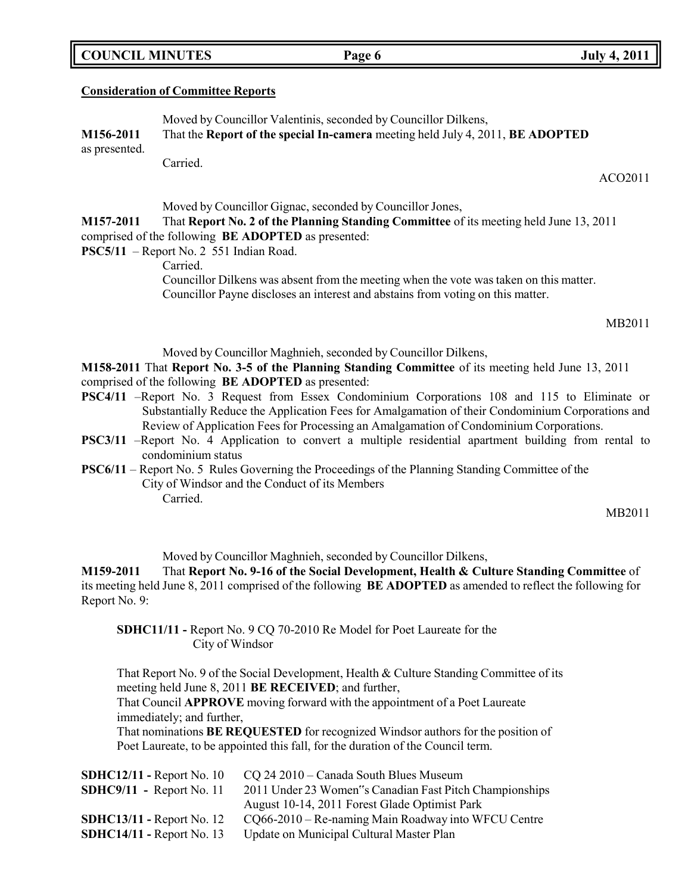|  | <b>COUNCIL MINUTES</b> |
|--|------------------------|
|--|------------------------|

#### **Consideration of Committee Reports**

Moved by Councillor Valentinis, seconded by Councillor Dilkens, **M156-2011** That the **Report of the special In-camera** meeting held July 4, 2011, **BE ADOPTED** as presented. Carried.

Moved by Councillor Gignac, seconded by Councillor Jones,

**M157-2011** That **Report No. 2 of the Planning Standing Committee** of its meeting held June 13, 2011 comprised of the following **BE ADOPTED** as presented:

**PSC5/11** – Report No. 2 551 Indian Road.

Carried.

Councillor Dilkens was absent from the meeting when the vote was taken on this matter. Councillor Payne discloses an interest and abstains from voting on this matter.

MB2011

Moved by Councillor Maghnieh, seconded by Councillor Dilkens,

**M158-2011** That **Report No. 3-5 of the Planning Standing Committee** of its meeting held June 13, 2011 comprised of the following **BE ADOPTED** as presented:

- **PSC4/11** –Report No. 3 Request from Essex Condominium Corporations 108 and 115 to Eliminate or Substantially Reduce the Application Fees for Amalgamation of their Condominium Corporations and Review of Application Fees for Processing an Amalgamation of Condominium Corporations.
- **PSC3/11** –Report No. 4 Application to convert a multiple residential apartment building from rental to condominium status
- **PSC6/11** Report No. 5 Rules Governing the Proceedings of the Planning Standing Committee of the City of Windsor and the Conduct of its Members Carried.

MB2011

Moved by Councillor Maghnieh, seconded by Councillor Dilkens,

**M159-2011** That **Report No. 9-16 of the Social Development, Health & Culture Standing Committee** of its meeting held June 8, 2011 comprised of the following **BE ADOPTED** as amended to reflect the following for Report No. 9:

**SDHC11/11 -** Report No. 9 CQ 70-2010 Re Model for Poet Laureate for the City of Windsor

That Report No. 9 of the Social Development, Health & Culture Standing Committee of its meeting held June 8, 2011 **BE RECEIVED**; and further,

That Council **APPROVE** moving forward with the appointment of a Poet Laureate immediately; and further,

That nominations **BE REQUESTED** for recognized Windsor authors for the position of Poet Laureate, to be appointed this fall, for the duration of the Council term.

| $SBHC12/11$ - Report No. 10 | CQ 24 2010 – Canada South Blues Museum                  |
|-----------------------------|---------------------------------------------------------|
| $SBHC9/11 - Report No. 11$  | 2011 Under 23 Women"s Canadian Fast Pitch Championships |
|                             | August 10-14, 2011 Forest Glade Optimist Park           |
| $SBHC13/11$ - Report No. 12 | $CQ66-2010$ – Re-naming Main Roadway into WFCU Centre   |
| $SBHC14/11$ - Report No. 13 | Update on Municipal Cultural Master Plan                |
|                             |                                                         |

**COUNCIL EXECUTE: COUNCIL EXECUTE: Page 6 July 4, 2011** 

ACO2011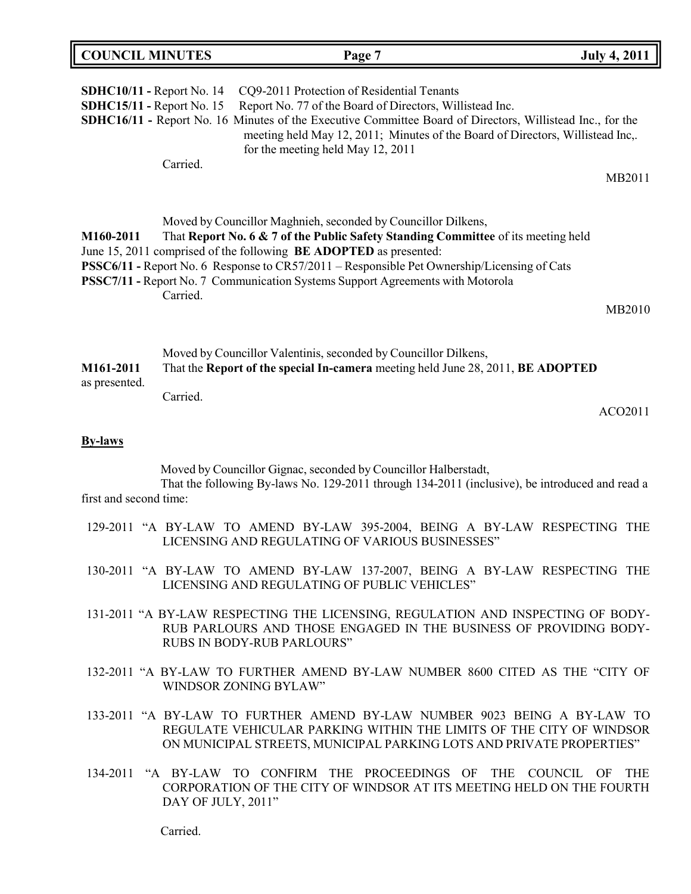| <b>COUNCIL MINUTES</b>                                 |                    | Page 7                                                                                                                                                                                                                                                                                                                                                                                                   | <b>July 4, 2011</b> |
|--------------------------------------------------------|--------------------|----------------------------------------------------------------------------------------------------------------------------------------------------------------------------------------------------------------------------------------------------------------------------------------------------------------------------------------------------------------------------------------------------------|---------------------|
| SDHC10/11 - Report No. 14<br>SDHC15/11 - Report No. 15 | Carried.           | CQ9-2011 Protection of Residential Tenants<br>Report No. 77 of the Board of Directors, Willistead Inc.<br><b>SDHC16/11 - Report No. 16 Minutes of the Executive Committee Board of Directors, Willistead Inc., for the</b><br>meeting held May 12, 2011; Minutes of the Board of Directors, Willistead Inc,.<br>for the meeting held May 12, 2011                                                        |                     |
|                                                        |                    |                                                                                                                                                                                                                                                                                                                                                                                                          | MB2011              |
| M160-2011                                              | Carried.           | Moved by Councillor Maghnieh, seconded by Councillor Dilkens,<br>That Report No. 6 & 7 of the Public Safety Standing Committee of its meeting held<br>June 15, 2011 comprised of the following BE ADOPTED as presented:<br>PSSC6/11 - Report No. 6 Response to CR57/2011 – Responsible Pet Ownership/Licensing of Cats<br>PSSC7/11 - Report No. 7 Communication Systems Support Agreements with Motorola |                     |
|                                                        |                    |                                                                                                                                                                                                                                                                                                                                                                                                          | MB2010              |
| M161-2011<br>as presented.                             | Carried.           | Moved by Councillor Valentinis, seconded by Councillor Dilkens,<br>That the Report of the special In-camera meeting held June 28, 2011, BE ADOPTED                                                                                                                                                                                                                                                       |                     |
|                                                        |                    |                                                                                                                                                                                                                                                                                                                                                                                                          | ACO2011             |
| <b>By-laws</b>                                         |                    |                                                                                                                                                                                                                                                                                                                                                                                                          |                     |
| first and second time:                                 |                    | Moved by Councillor Gignac, seconded by Councillor Halberstadt,<br>That the following By-laws No. 129-2011 through 134-2011 (inclusive), be introduced and read a                                                                                                                                                                                                                                        |                     |
|                                                        |                    | 129-2011 "A BY-LAW TO AMEND BY-LAW 395-2004, BEING A BY-LAW RESPECTING THE<br>LICENSING AND REGULATING OF VARIOUS BUSINESSES"                                                                                                                                                                                                                                                                            |                     |
|                                                        |                    | 130-2011 "A BY-LAW TO AMEND BY-LAW 137-2007, BEING A BY-LAW RESPECTING THE<br>LICENSING AND REGULATING OF PUBLIC VEHICLES"                                                                                                                                                                                                                                                                               |                     |
|                                                        |                    | 131-2011 "A BY-LAW RESPECTING THE LICENSING, REGULATION AND INSPECTING OF BODY-<br>RUB PARLOURS AND THOSE ENGAGED IN THE BUSINESS OF PROVIDING BODY-<br><b>RUBS IN BODY-RUB PARLOURS"</b>                                                                                                                                                                                                                |                     |
|                                                        |                    | 132-2011 "A BY-LAW TO FURTHER AMEND BY-LAW NUMBER 8600 CITED AS THE "CITY OF<br>WINDSOR ZONING BYLAW"                                                                                                                                                                                                                                                                                                    |                     |
|                                                        |                    | 133-2011 "A BY-LAW TO FURTHER AMEND BY-LAW NUMBER 9023 BEING A BY-LAW TO<br>REGULATE VEHICULAR PARKING WITHIN THE LIMITS OF THE CITY OF WINDSOR<br>ON MUNICIPAL STREETS, MUNICIPAL PARKING LOTS AND PRIVATE PROPERTIES"                                                                                                                                                                                  |                     |
|                                                        | DAY OF JULY, 2011" | 134-2011 "A BY-LAW TO CONFIRM THE PROCEEDINGS OF THE COUNCIL<br>CORPORATION OF THE CITY OF WINDSOR AT ITS MEETING HELD ON THE FOURTH                                                                                                                                                                                                                                                                     | - OF<br><b>THE</b>  |

Carried.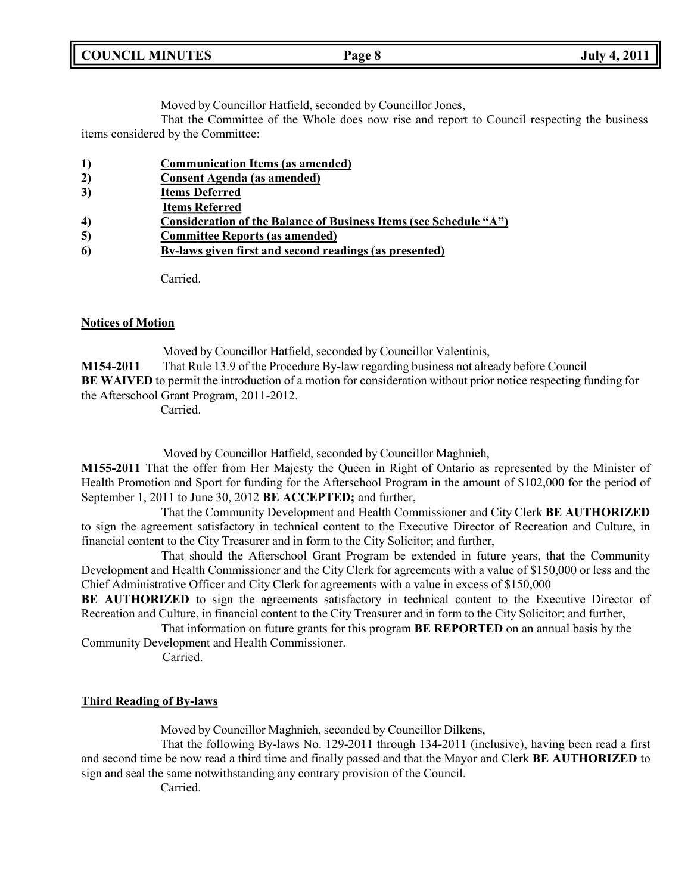| <b>COUNCIL MINUTES</b><br><b>July 4, 2011</b><br>Page 8 |  |
|---------------------------------------------------------|--|
|---------------------------------------------------------|--|

Moved by Councillor Hatfield, seconded by Councillor Jones,

That the Committee of the Whole does now rise and report to Council respecting the business items considered by the Committee:

- **2) Consent Agenda (as amended)**
- **3) Items Deferred**
- **Items Referred**
- **4) Consideration of the Balance of Business Items (see Schedule "A")**
- **5) Committee Reports (as amended)**
- **6) By-laws given first and second readings (as presented)**

Carried.

#### **Notices of Motion**

Moved by Councillor Hatfield, seconded by Councillor Valentinis, **M154-2011** That Rule 13.9 of the Procedure By-law regarding business not already before Council **BE WAIVED** to permit the introduction of a motion for consideration without prior notice respecting funding for the Afterschool Grant Program, 2011-2012.

Carried.

Moved by Councillor Hatfield, seconded by Councillor Maghnieh,

**M155-2011** That the offer from Her Majesty the Queen in Right of Ontario as represented by the Minister of Health Promotion and Sport for funding for the Afterschool Program in the amount of \$102,000 for the period of September 1, 2011 to June 30, 2012 **BE ACCEPTED;** and further,

That the Community Development and Health Commissioner and City Clerk **BE AUTHORIZED** to sign the agreement satisfactory in technical content to the Executive Director of Recreation and Culture, in financial content to the City Treasurer and in form to the City Solicitor; and further,

That should the Afterschool Grant Program be extended in future years, that the Community Development and Health Commissioner and the City Clerk for agreements with a value of \$150,000 or less and the Chief Administrative Officer and City Clerk for agreements with a value in excess of \$150,000

**BE AUTHORIZED** to sign the agreements satisfactory in technical content to the Executive Director of Recreation and Culture, in financial content to the City Treasurer and in form to the City Solicitor; and further,

That information on future grants for this program **BE REPORTED** on an annual basis by the Community Development and Health Commissioner.

Carried.

## **Third Reading of By-laws**

Moved by Councillor Maghnieh, seconded by Councillor Dilkens,

That the following By-laws No. 129-2011 through 134-2011 (inclusive), having been read a first and second time be now read a third time and finally passed and that the Mayor and Clerk **BE AUTHORIZED** to sign and seal the same notwithstanding any contrary provision of the Council.

Carried.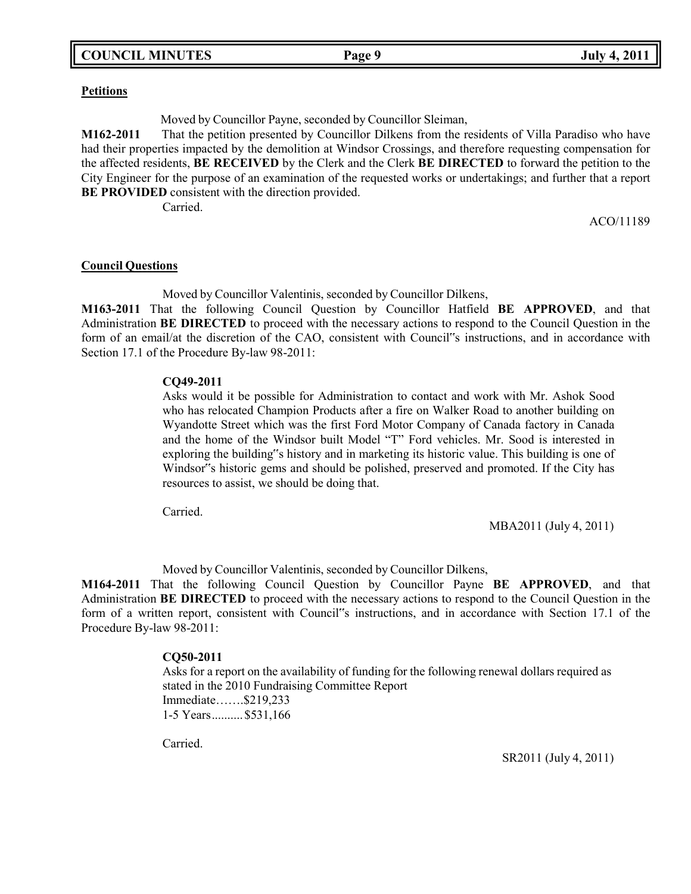#### **Petitions**

Moved by Councillor Payne, seconded by Councillor Sleiman,

**M162-2011** That the petition presented by Councillor Dilkens from the residents of Villa Paradiso who have had their properties impacted by the demolition at Windsor Crossings, and therefore requesting compensation for the affected residents, **BE RECEIVED** by the Clerk and the Clerk **BE DIRECTED** to forward the petition to the City Engineer for the purpose of an examination of the requested works or undertakings; and further that a report **BE PROVIDED** consistent with the direction provided.

Carried.

ACO/11189

#### **Council Questions**

Moved by Councillor Valentinis, seconded by Councillor Dilkens,

**M163-2011** That the following Council Question by Councillor Hatfield **BE APPROVED**, and that Administration **BE DIRECTED** to proceed with the necessary actions to respond to the Council Question in the form of an email/at the discretion of the CAO, consistent with Council"s instructions, and in accordance with Section 17.1 of the Procedure By-law 98-2011:

#### **CQ49-2011**

Asks would it be possible for Administration to contact and work with Mr. Ashok Sood who has relocated Champion Products after a fire on Walker Road to another building on Wyandotte Street which was the first Ford Motor Company of Canada factory in Canada and the home of the Windsor built Model "T" Ford vehicles. Mr. Sood is interested in exploring the building"s history and in marketing its historic value. This building is one of Windsor"s historic gems and should be polished, preserved and promoted. If the City has resources to assist, we should be doing that.

Carried.

MBA2011 (July 4, 2011)

Moved by Councillor Valentinis, seconded by Councillor Dilkens,

**M164-2011** That the following Council Question by Councillor Payne **BE APPROVED**, and that Administration **BE DIRECTED** to proceed with the necessary actions to respond to the Council Question in the form of a written report, consistent with Council"s instructions, and in accordance with Section 17.1 of the Procedure By-law 98-2011:

#### **CQ50-2011**

Asks for a report on the availability of funding for the following renewal dollars required as stated in the 2010 Fundraising Committee Report Immediate…….\$219,233 1-5 Years..........\$531,166

Carried.

SR2011 (July 4, 2011)

## **COUNCIL EXECUTE: COUNCIL COUNCIL COUNCIL COUNCIL COUNCIL COUNCIL COUNCIL COUNCIL COUNCIL COUNCIL**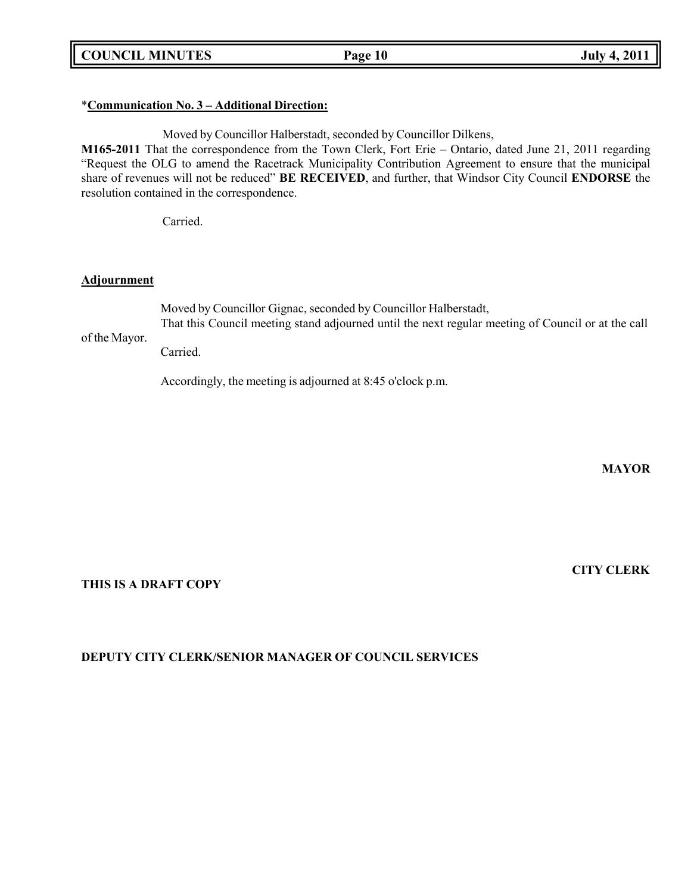**COUNCIL MINUTES Page 10 July 4, 2011**

# \***Communication No. 3 – Additional Direction:**

Moved by Councillor Halberstadt, seconded by Councillor Dilkens, **M165-2011** That the correspondence from the Town Clerk, Fort Erie – Ontario, dated June 21, 2011 regarding "Request the OLG to amend the Racetrack Municipality Contribution Agreement to ensure that the municipal share of revenues will not be reduced" **BE RECEIVED**, and further, that Windsor City Council **ENDORSE** the resolution contained in the correspondence.

Carried.

#### **Adjournment**

of the Mayor. Moved by Councillor Gignac, seconded by Councillor Halberstadt, That this Council meeting stand adjourned until the next regular meeting of Council or at the call Carried.

Accordingly, the meeting is adjourned at 8:45 o'clock p.m.

**MAYOR**

**CITY CLERK**

# **THIS IS A DRAFT COPY**

# **DEPUTY CITY CLERK/SENIOR MANAGER OF COUNCIL SERVICES**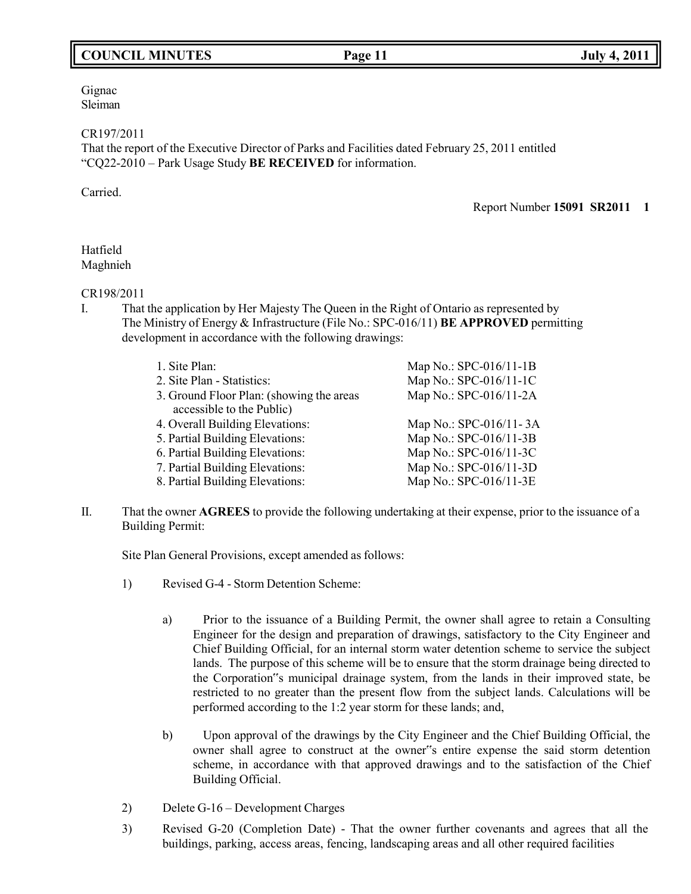# **COUNCIL MINUTES Page 11 July 4, 2011**

Gignac Sleiman

CR197/2011

That the report of the Executive Director of Parks and Facilities dated February 25, 2011 entitled "CQ22-2010 – Park Usage Study **BE RECEIVED** for information.

Carried.

Report Number **15091 SR2011 1**

## Hatfield Maghnieh

## CR198/2011

I. That the application by Her Majesty The Queen in the Right of Ontario as represented by The Ministry of Energy & Infrastructure (File No.: SPC-016/11) **BE APPROVED** permitting development in accordance with the following drawings:

| Map No.: SPC-016/11-1B |
|------------------------|
| Map No.: SPC-016/11-1C |
| Map No.: SPC-016/11-2A |
|                        |
| Map No.: SPC-016/11-3A |
| Map No.: SPC-016/11-3B |
| Map No.: SPC-016/11-3C |
| Map No.: SPC-016/11-3D |
| Map No.: SPC-016/11-3E |
|                        |

II. That the owner **AGREES** to provide the following undertaking at their expense, prior to the issuance of a Building Permit:

Site Plan General Provisions, except amended as follows:

- 1) Revised G-4 Storm Detention Scheme:
	- a) Prior to the issuance of a Building Permit, the owner shall agree to retain a Consulting Engineer for the design and preparation of drawings, satisfactory to the City Engineer and Chief Building Official, for an internal storm water detention scheme to service the subject lands. The purpose of this scheme will be to ensure that the storm drainage being directed to the Corporation"s municipal drainage system, from the lands in their improved state, be restricted to no greater than the present flow from the subject lands. Calculations will be performed according to the 1:2 year storm for these lands; and,
	- b) Upon approval of the drawings by the City Engineer and the Chief Building Official, the owner shall agree to construct at the owner"s entire expense the said storm detention scheme, in accordance with that approved drawings and to the satisfaction of the Chief Building Official.
- 2) Delete G-16 Development Charges
- 3) Revised G-20 (Completion Date) That the owner further covenants and agrees that all the buildings, parking, access areas, fencing, landscaping areas and all other required facilities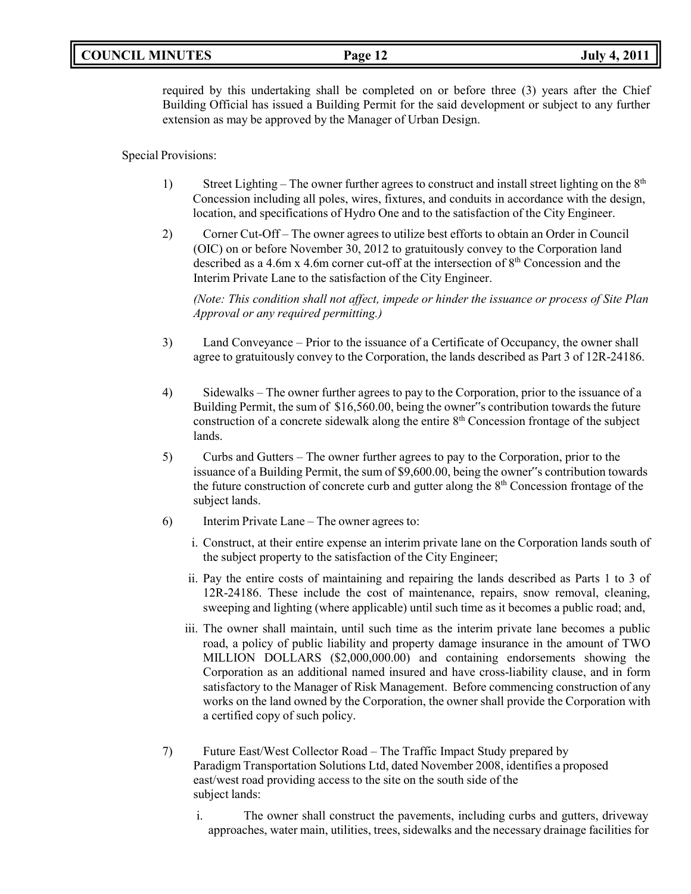# **COUNCIL MINUTES Page 12 July 4, 2011**

required by this undertaking shall be completed on or before three (3) years after the Chief Building Official has issued a Building Permit for the said development or subject to any further extension as may be approved by the Manager of Urban Design.

Special Provisions:

- 1) Street Lighting The owner further agrees to construct and install street lighting on the  $8<sup>th</sup>$ Concession including all poles, wires, fixtures, and conduits in accordance with the design, location, and specifications of Hydro One and to the satisfaction of the City Engineer.
- 2) Corner Cut-Off The owner agrees to utilize best efforts to obtain an Order in Council (OIC) on or before November 30, 2012 to gratuitously convey to the Corporation land described as a 4.6m x 4.6m corner cut-off at the intersection of  $8<sup>th</sup>$  Concession and the Interim Private Lane to the satisfaction of the City Engineer.

*(Note: This condition shall not affect, impede or hinder the issuance or process of Site Plan Approval or any required permitting.)*

- 3) Land Conveyance Prior to the issuance of a Certificate of Occupancy, the owner shall agree to gratuitously convey to the Corporation, the lands described as Part 3 of 12R-24186.
- 4) Sidewalks The owner further agrees to pay to the Corporation, prior to the issuance of a Building Permit, the sum of \$16,560.00, being the owner"s contribution towards the future construction of a concrete sidewalk along the entire 8<sup>th</sup> Concession frontage of the subject lands.
- 5) Curbs and Gutters The owner further agrees to pay to the Corporation, prior to the issuance of a Building Permit, the sum of \$9,600.00, being the owner"s contribution towards the future construction of concrete curb and gutter along the  $8<sup>th</sup>$  Concession frontage of the subject lands.
- 6) Interim Private Lane The owner agrees to:
	- i. Construct, at their entire expense an interim private lane on the Corporation lands south of the subject property to the satisfaction of the City Engineer;
	- ii. Pay the entire costs of maintaining and repairing the lands described as Parts 1 to 3 of 12R-24186. These include the cost of maintenance, repairs, snow removal, cleaning, sweeping and lighting (where applicable) until such time as it becomes a public road; and,
	- iii. The owner shall maintain, until such time as the interim private lane becomes a public road, a policy of public liability and property damage insurance in the amount of TWO MILLION DOLLARS (\$2,000,000.00) and containing endorsements showing the Corporation as an additional named insured and have cross-liability clause, and in form satisfactory to the Manager of Risk Management. Before commencing construction of any works on the land owned by the Corporation, the owner shall provide the Corporation with a certified copy of such policy.
- 7) Future East/West Collector Road The Traffic Impact Study prepared by Paradigm Transportation Solutions Ltd, dated November 2008, identifies a proposed east/west road providing access to the site on the south side of the subject lands:
	- i. The owner shall construct the pavements, including curbs and gutters, driveway approaches, water main, utilities, trees, sidewalks and the necessary drainage facilities for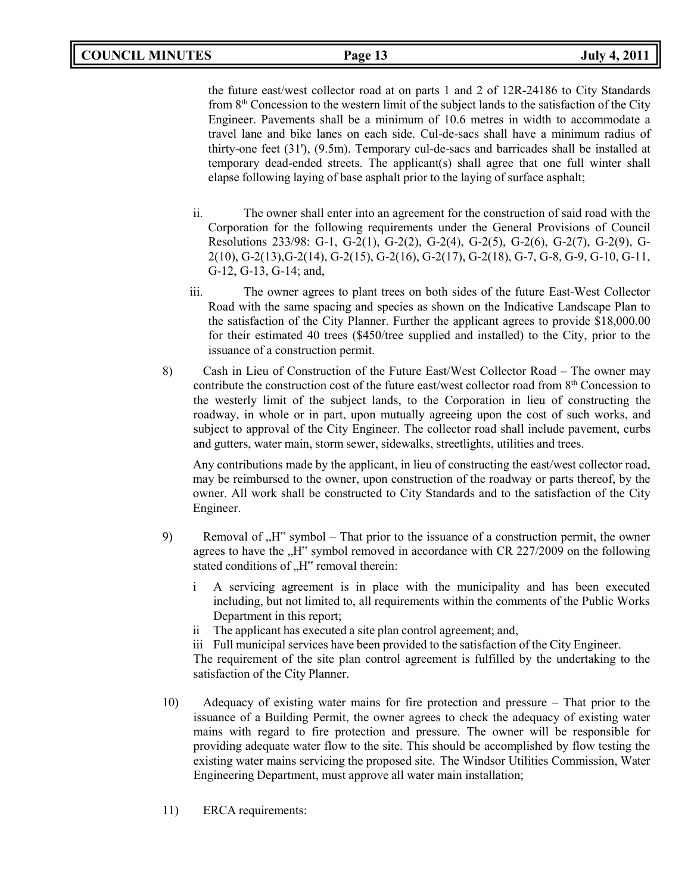the future east/west collector road at on parts 1 and 2 of 12R-24186 to City Standards from 8<sup>th</sup> Concession to the western limit of the subject lands to the satisfaction of the City Engineer. Pavements shall be a minimum of 10.6 metres in width to accommodate a travel lane and bike lanes on each side. Cul-de-sacs shall have a minimum radius of thirty-one feet (31'), (9.5m). Temporary cul-de-sacs and barricades shall be installed at temporary dead-ended streets. The applicant(s) shall agree that one full winter shall elapse following laying of base asphalt prior to the laying of surface asphalt;

- ii. The owner shall enter into an agreement for the construction of said road with the Corporation for the following requirements under the General Provisions of Council Resolutions 233/98: G-1, G-2(1), G-2(2), G-2(4), G-2(5), G-2(6), G-2(7), G-2(9), G-2(10), G-2(13),G-2(14), G-2(15), G-2(16), G-2(17), G-2(18), G-7, G-8, G-9, G-10, G-11, G-12, G-13, G-14; and,
- iii. The owner agrees to plant trees on both sides of the future East-West Collector Road with the same spacing and species as shown on the Indicative Landscape Plan to the satisfaction of the City Planner. Further the applicant agrees to provide \$18,000.00 for their estimated 40 trees (\$450/tree supplied and installed) to the City, prior to the issuance of a construction permit.
- 8) Cash in Lieu of Construction of the Future East/West Collector Road The owner may contribute the construction cost of the future east/west collector road from 8<sup>th</sup> Concession to the westerly limit of the subject lands, to the Corporation in lieu of constructing the roadway, in whole or in part, upon mutually agreeing upon the cost of such works, and subject to approval of the City Engineer. The collector road shall include pavement, curbs and gutters, water main, storm sewer, sidewalks, streetlights, utilities and trees.

Any contributions made by the applicant, in lieu of constructing the east/west collector road, may be reimbursed to the owner, upon construction of the roadway or parts thereof, by the owner. All work shall be constructed to City Standards and to the satisfaction of the City Engineer.

- 9) Removal of "H" symbol That prior to the issuance of a construction permit, the owner agrees to have the "H" symbol removed in accordance with CR 227/2009 on the following stated conditions of "H" removal therein:
	- i A servicing agreement is in place with the municipality and has been executed including, but not limited to, all requirements within the comments of the Public Works Department in this report;
	- ii The applicant has executed a site plan control agreement; and,

iii Full municipal services have been provided to the satisfaction of the City Engineer. The requirement of the site plan control agreement is fulfilled by the undertaking to the satisfaction of the City Planner.

- 10) Adequacy of existing water mains for fire protection and pressure That prior to the issuance of a Building Permit, the owner agrees to check the adequacy of existing water mains with regard to fire protection and pressure. The owner will be responsible for providing adequate water flow to the site. This should be accomplished by flow testing the existing water mains servicing the proposed site. The Windsor Utilities Commission, Water Engineering Department, must approve all water main installation;
- 11) ERCA requirements: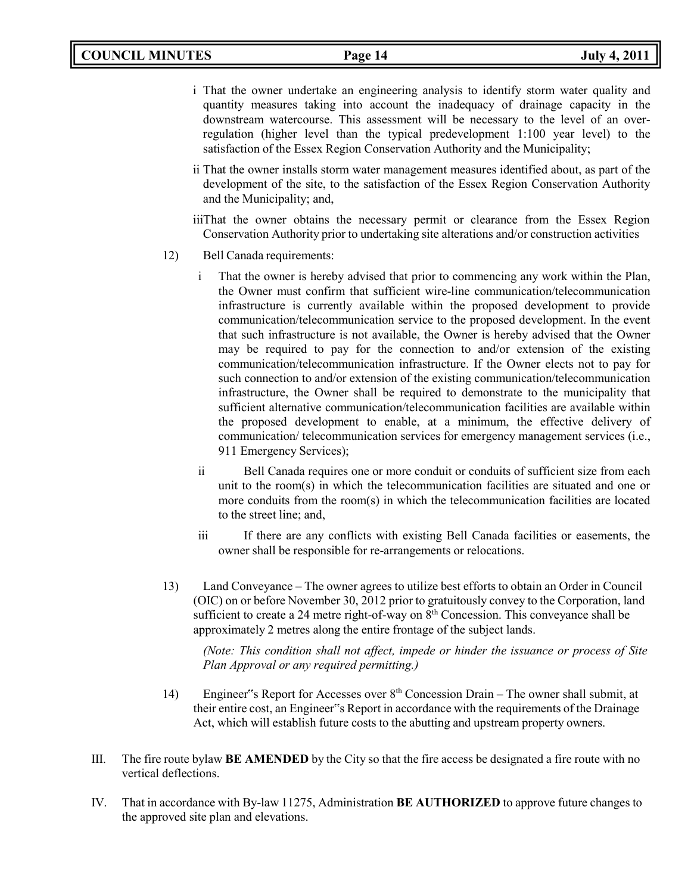- i That the owner undertake an engineering analysis to identify storm water quality and quantity measures taking into account the inadequacy of drainage capacity in the downstream watercourse. This assessment will be necessary to the level of an overregulation (higher level than the typical predevelopment 1:100 year level) to the satisfaction of the Essex Region Conservation Authority and the Municipality;
- ii That the owner installs storm water management measures identified about, as part of the development of the site, to the satisfaction of the Essex Region Conservation Authority and the Municipality; and,

iiiThat the owner obtains the necessary permit or clearance from the Essex Region Conservation Authority prior to undertaking site alterations and/or construction activities

- 12) Bell Canada requirements:
	- i That the owner is hereby advised that prior to commencing any work within the Plan, the Owner must confirm that sufficient wire-line communication/telecommunication infrastructure is currently available within the proposed development to provide communication/telecommunication service to the proposed development. In the event that such infrastructure is not available, the Owner is hereby advised that the Owner may be required to pay for the connection to and/or extension of the existing communication/telecommunication infrastructure. If the Owner elects not to pay for such connection to and/or extension of the existing communication/telecommunication infrastructure, the Owner shall be required to demonstrate to the municipality that sufficient alternative communication/telecommunication facilities are available within the proposed development to enable, at a minimum, the effective delivery of communication/ telecommunication services for emergency management services (i.e., 911 Emergency Services);
	- ii Bell Canada requires one or more conduit or conduits of sufficient size from each unit to the room(s) in which the telecommunication facilities are situated and one or more conduits from the room(s) in which the telecommunication facilities are located to the street line; and,
	- iii If there are any conflicts with existing Bell Canada facilities or easements, the owner shall be responsible for re-arrangements or relocations.
- 13) Land Conveyance The owner agrees to utilize best efforts to obtain an Order in Council (OIC) on or before November 30, 2012 prior to gratuitously convey to the Corporation, land sufficient to create a 24 metre right-of-way on  $8<sup>th</sup>$  Concession. This conveyance shall be approximately 2 metres along the entire frontage of the subject lands.

*(Note: This condition shall not affect, impede or hinder the issuance or process of Site Plan Approval or any required permitting.)*

- 14) Engineer"s Report for Accesses over 8th Concession Drain The owner shall submit, at their entire cost, an Engineer"s Report in accordance with the requirements of the Drainage Act, which will establish future costs to the abutting and upstream property owners.
- III. The fire route bylaw **BE AMENDED** by the City so that the fire access be designated a fire route with no vertical deflections.
- IV. That in accordance with By-law 11275, Administration **BE AUTHORIZED** to approve future changes to the approved site plan and elevations.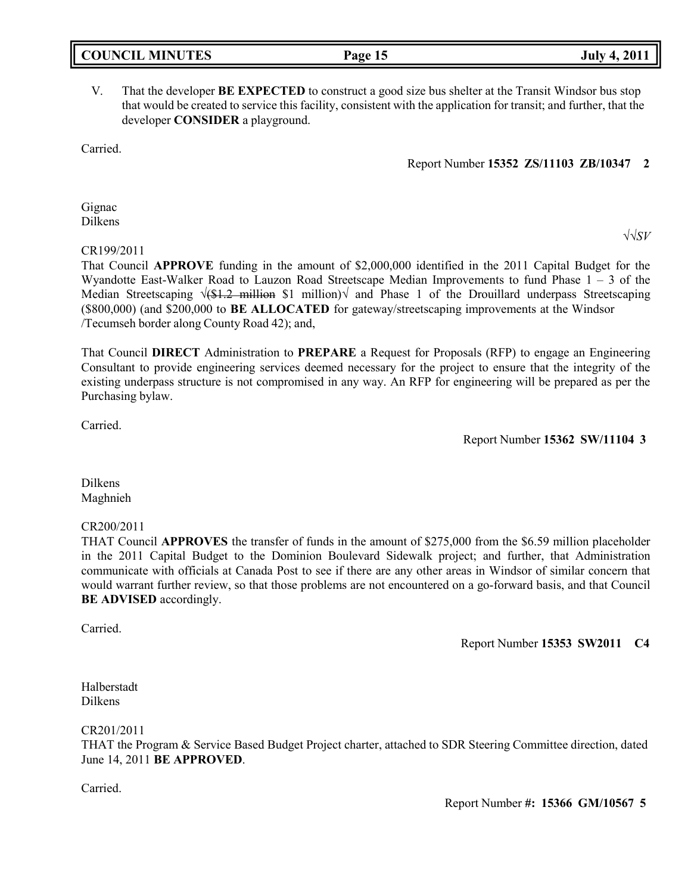|  | <b>COUNCIL MINUTES</b> |
|--|------------------------|
|--|------------------------|

# V. That the developer **BE EXPECTED** to construct a good size bus shelter at the Transit Windsor bus stop that would be created to service this facility, consistent with the application for transit; and further, that the developer **CONSIDER** a playground.

Carried.

#### Report Number **15352 ZS/11103 ZB/10347 2**

Gignac Dilkens

#### CR199/2011

That Council **APPROVE** funding in the amount of \$2,000,000 identified in the 2011 Capital Budget for the Wyandotte East-Walker Road to Lauzon Road Streetscape Median Improvements to fund Phase  $1 - 3$  of the Median Streetscaping  $\sqrt{(1.2 \text{ million } S1 \text{ million})}$  and Phase 1 of the Drouillard underpass Streetscaping (\$800,000) (and \$200,000 to **BE ALLOCATED** for gateway/streetscaping improvements at the Windsor /Tecumseh border along County Road 42); and,

That Council **DIRECT** Administration to **PREPARE** a Request for Proposals (RFP) to engage an Engineering Consultant to provide engineering services deemed necessary for the project to ensure that the integrity of the existing underpass structure is not compromised in any way. An RFP for engineering will be prepared as per the Purchasing bylaw.

Carried.

Report Number **15362 SW/11104 3**

Dilkens Maghnieh

## CR200/2011

THAT Council **APPROVES** the transfer of funds in the amount of \$275,000 from the \$6.59 million placeholder in the 2011 Capital Budget to the Dominion Boulevard Sidewalk project; and further, that Administration communicate with officials at Canada Post to see if there are any other areas in Windsor of similar concern that would warrant further review, so that those problems are not encountered on a go-forward basis, and that Council **BE ADVISED** accordingly.

Carried.

Report Number **15353 SW2011 C4**

Halberstadt Dilkens

CR201/2011

THAT the Program & Service Based Budget Project charter, attached to SDR Steering Committee direction, dated June 14, 2011 **BE APPROVED**.

Carried.

Report Number **#: 15366 GM/10567 5**

# **COUNCIL EXECUTE: COUNCIL EXECUTE: Page 15 July 4, 2011**

√√*SV*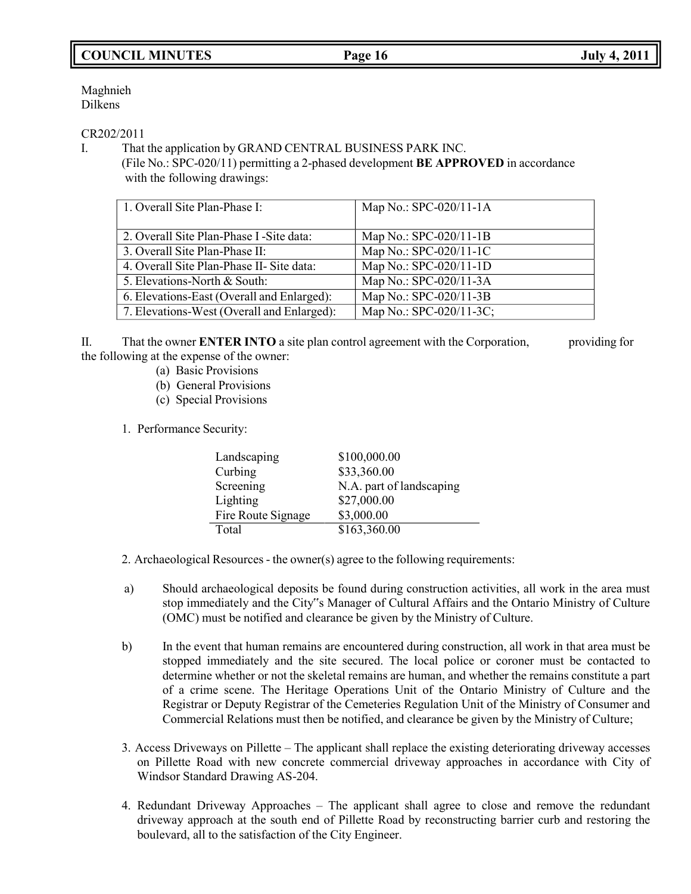# **COUNCIL MINUTES Page 16 July 4, 2011**

## Maghnieh Dilkens

# CR202/2011

I. That the application by GRAND CENTRAL BUSINESS PARK INC.

(File No.: SPC-020/11) permitting a 2-phased development **BE APPROVED** in accordance with the following drawings:

| 1. Overall Site Plan-Phase I:              | Map No.: SPC-020/11-1A  |
|--------------------------------------------|-------------------------|
| 2. Overall Site Plan-Phase I - Site data:  | Map No.: SPC-020/11-1B  |
| 3. Overall Site Plan-Phase II:             | Map No.: SPC-020/11-1C  |
| 4. Overall Site Plan-Phase II- Site data:  | Map No.: SPC-020/11-1D  |
| 5. Elevations-North & South:               | Map No.: SPC-020/11-3A  |
| 6. Elevations-East (Overall and Enlarged): | Map No.: SPC-020/11-3B  |
| 7. Elevations-West (Overall and Enlarged): | Map No.: SPC-020/11-3C; |

II. That the owner **ENTER INTO** a site plan control agreement with the Corporation, providing for the following at the expense of the owner:

- (a) Basic Provisions
- (b) General Provisions
- (c) Special Provisions
- 1. Performance Security:

| Landscaping        | \$100,000.00             |
|--------------------|--------------------------|
| Curbing            | \$33,360.00              |
| Screening          | N.A. part of landscaping |
| Lighting           | \$27,000.00              |
| Fire Route Signage | \$3,000.00               |
| Total              | \$163,360.00             |

2. Archaeological Resources - the owner(s) agree to the following requirements:

- a) Should archaeological deposits be found during construction activities, all work in the area must stop immediately and the City"s Manager of Cultural Affairs and the Ontario Ministry of Culture (OMC) must be notified and clearance be given by the Ministry of Culture.
- b) In the event that human remains are encountered during construction, all work in that area must be stopped immediately and the site secured. The local police or coroner must be contacted to determine whether or not the skeletal remains are human, and whether the remains constitute a part of a crime scene. The Heritage Operations Unit of the Ontario Ministry of Culture and the Registrar or Deputy Registrar of the Cemeteries Regulation Unit of the Ministry of Consumer and Commercial Relations must then be notified, and clearance be given by the Ministry of Culture;
- 3. Access Driveways on Pillette The applicant shall replace the existing deteriorating driveway accesses on Pillette Road with new concrete commercial driveway approaches in accordance with City of Windsor Standard Drawing AS-204.
- 4. Redundant Driveway Approaches The applicant shall agree to close and remove the redundant driveway approach at the south end of Pillette Road by reconstructing barrier curb and restoring the boulevard, all to the satisfaction of the City Engineer.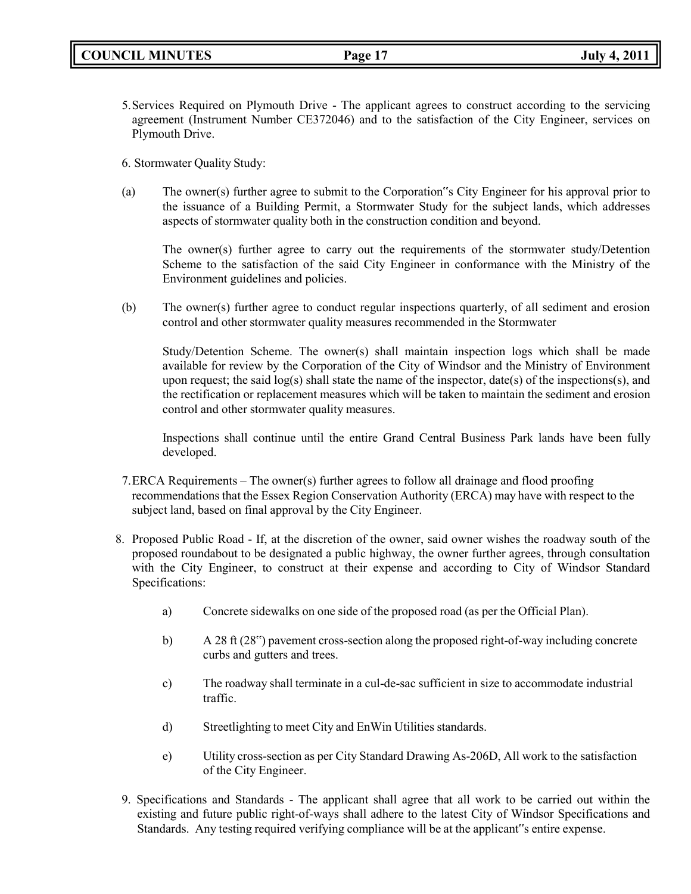- 5.Services Required on Plymouth Drive The applicant agrees to construct according to the servicing agreement (Instrument Number CE372046) and to the satisfaction of the City Engineer, services on Plymouth Drive.
- 6. Stormwater Quality Study:
- (a) The owner(s) further agree to submit to the Corporation"s City Engineer for his approval prior to the issuance of a Building Permit, a Stormwater Study for the subject lands, which addresses aspects of stormwater quality both in the construction condition and beyond.

The owner(s) further agree to carry out the requirements of the stormwater study/Detention Scheme to the satisfaction of the said City Engineer in conformance with the Ministry of the Environment guidelines and policies.

(b) The owner(s) further agree to conduct regular inspections quarterly, of all sediment and erosion control and other stormwater quality measures recommended in the Stormwater

Study/Detention Scheme. The owner(s) shall maintain inspection logs which shall be made available for review by the Corporation of the City of Windsor and the Ministry of Environment upon request; the said log(s) shall state the name of the inspector, date(s) of the inspections(s), and the rectification or replacement measures which will be taken to maintain the sediment and erosion control and other stormwater quality measures.

Inspections shall continue until the entire Grand Central Business Park lands have been fully developed.

- 7.ERCA Requirements The owner(s) further agrees to follow all drainage and flood proofing recommendations that the Essex Region Conservation Authority (ERCA) may have with respect to the subject land, based on final approval by the City Engineer.
- 8. Proposed Public Road If, at the discretion of the owner, said owner wishes the roadway south of the proposed roundabout to be designated a public highway, the owner further agrees, through consultation with the City Engineer, to construct at their expense and according to City of Windsor Standard Specifications:
	- a) Concrete sidewalks on one side of the proposed road (as per the Official Plan).
	- b) A 28 ft (28") pavement cross-section along the proposed right-of-way including concrete curbs and gutters and trees.
	- c) The roadway shall terminate in a cul-de-sac sufficient in size to accommodate industrial traffic.
	- d) Streetlighting to meet City and EnWin Utilities standards.
	- e) Utility cross-section as per City Standard Drawing As-206D, All work to the satisfaction of the City Engineer.
- 9. Specifications and Standards The applicant shall agree that all work to be carried out within the existing and future public right-of-ways shall adhere to the latest City of Windsor Specifications and Standards. Any testing required verifying compliance will be at the applicant"s entire expense.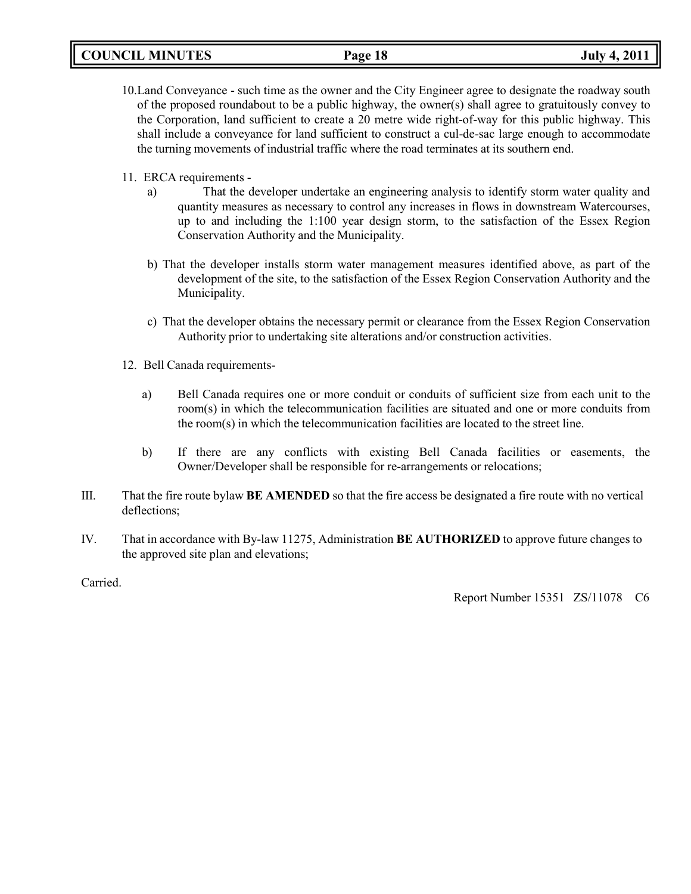- 10.Land Conveyance such time as the owner and the City Engineer agree to designate the roadway south of the proposed roundabout to be a public highway, the owner(s) shall agree to gratuitously convey to the Corporation, land sufficient to create a 20 metre wide right-of-way for this public highway. This shall include a conveyance for land sufficient to construct a cul-de-sac large enough to accommodate the turning movements of industrial traffic where the road terminates at its southern end.
- 11. ERCA requirements
	- a) That the developer undertake an engineering analysis to identify storm water quality and quantity measures as necessary to control any increases in flows in downstream Watercourses, up to and including the 1:100 year design storm, to the satisfaction of the Essex Region Conservation Authority and the Municipality.
	- b) That the developer installs storm water management measures identified above, as part of the development of the site, to the satisfaction of the Essex Region Conservation Authority and the Municipality.
	- c) That the developer obtains the necessary permit or clearance from the Essex Region Conservation Authority prior to undertaking site alterations and/or construction activities.
- 12. Bell Canada requirements
	- a) Bell Canada requires one or more conduit or conduits of sufficient size from each unit to the room(s) in which the telecommunication facilities are situated and one or more conduits from the room(s) in which the telecommunication facilities are located to the street line.
	- b) If there are any conflicts with existing Bell Canada facilities or easements, the Owner/Developer shall be responsible for re-arrangements or relocations;
- III. That the fire route bylaw **BE AMENDED** so that the fire access be designated a fire route with no vertical deflections;
- IV. That in accordance with By-law 11275, Administration **BE AUTHORIZED** to approve future changes to the approved site plan and elevations;

Carried.

Report Number 15351 ZS/11078 C6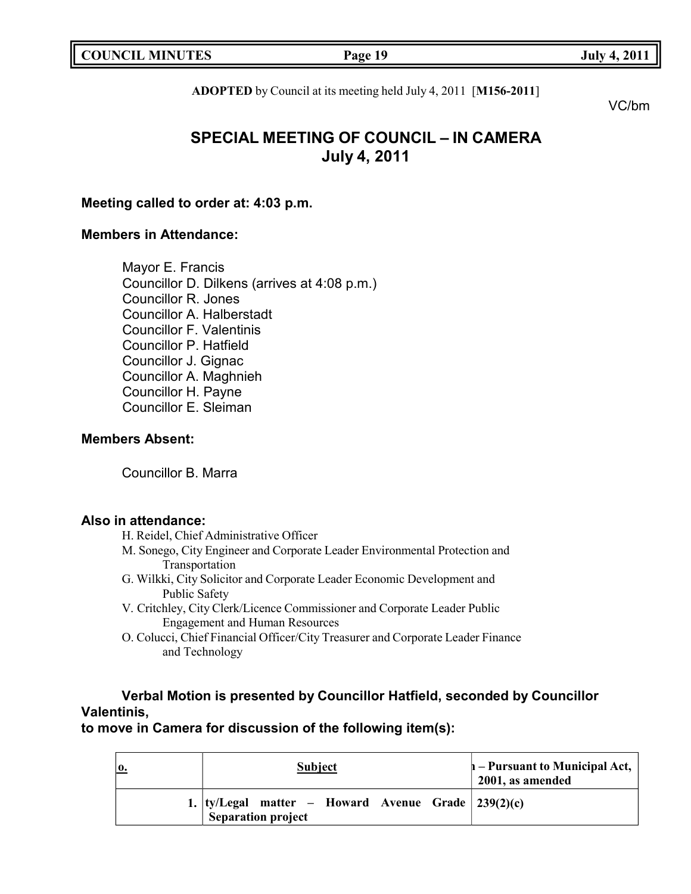|  | <b>COUNCIL MINUTES</b> |
|--|------------------------|
|--|------------------------|

**COUNCIL EXECUTE:** FOR THE PAGE 19

**ADOPTED** by Council at its meeting held July 4, 2011 [**M156-2011**]

VC/bm

# **SPECIAL MEETING OF COUNCIL – IN CAMERA July 4, 2011**

# **Meeting called to order at: 4:03 p.m.**

# **Members in Attendance:**

Mayor E. Francis Councillor D. Dilkens (arrives at 4:08 p.m.) Councillor R. Jones Councillor A. Halberstadt Councillor F. Valentinis Councillor P. Hatfield Councillor J. Gignac Councillor A. Maghnieh Councillor H. Payne Councillor E. Sleiman

# **Members Absent:**

Councillor B. Marra

# **Also in attendance:**

- H. Reidel, Chief Administrative Officer
- M. Sonego, City Engineer and Corporate Leader Environmental Protection and Transportation
- G. Wilkki, City Solicitor and Corporate Leader Economic Development and Public Safety
- V. Critchley, City Clerk/Licence Commissioner and Corporate Leader Public Engagement and Human Resources
- O. Colucci, Chief Financial Officer/City Treasurer and Corporate Leader Finance and Technology

# **Verbal Motion is presented by Councillor Hatfield, seconded by Councillor Valentinis,**

**to move in Camera for discussion of the following item(s):**

| 0. | <b>Subject</b>                                                                | $\vert$ - Pursuant to Municipal Act, $\vert$<br>2001, as amended |
|----|-------------------------------------------------------------------------------|------------------------------------------------------------------|
|    | 1.  ty/Legal matter – Howard Avenue Grade $ 239(2)(c) $<br>Separation project |                                                                  |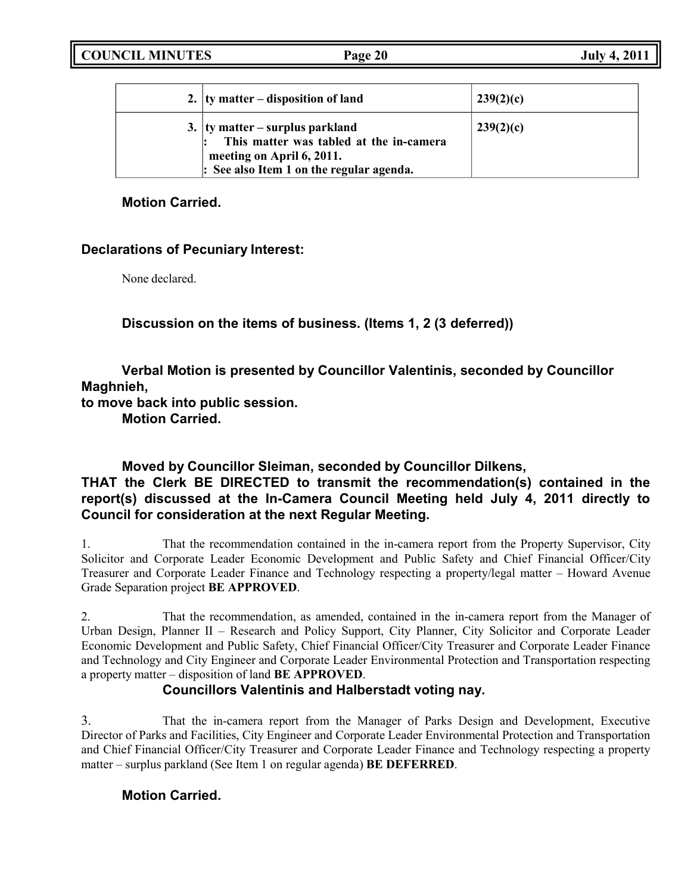**COUNCIL MINUTES Page 20 July 4, 2011**

| 2. $ $ ty matter – disposition of land                                                                                                                          | 239(2)(c) |
|-----------------------------------------------------------------------------------------------------------------------------------------------------------------|-----------|
| 3. $ $ ty matter – surplus parkland<br>This matter was tabled at the in-camera<br>meeting on April 6, 2011.<br>$\vert$ : See also Item 1 on the regular agenda. | 239(2)(c) |

# **Motion Carried.**

# **Declarations of Pecuniary Interest:**

None declared.

**Discussion on the items of business. (Items 1, 2 (3 deferred))**

**Verbal Motion is presented by Councillor Valentinis, seconded by Councillor Maghnieh,**

**to move back into public session.**

**Motion Carried.**

# **Moved by Councillor Sleiman, seconded by Councillor Dilkens,**

# **THAT the Clerk BE DIRECTED to transmit the recommendation(s) contained in the report(s) discussed at the In-Camera Council Meeting held July 4, 2011 directly to Council for consideration at the next Regular Meeting.**

1. That the recommendation contained in the in-camera report from the Property Supervisor, City Solicitor and Corporate Leader Economic Development and Public Safety and Chief Financial Officer/City Treasurer and Corporate Leader Finance and Technology respecting a property/legal matter – Howard Avenue Grade Separation project **BE APPROVED**.

2. That the recommendation, as amended, contained in the in-camera report from the Manager of Urban Design, Planner II – Research and Policy Support, City Planner, City Solicitor and Corporate Leader Economic Development and Public Safety, Chief Financial Officer/City Treasurer and Corporate Leader Finance and Technology and City Engineer and Corporate Leader Environmental Protection and Transportation respecting a property matter – disposition of land **BE APPROVED**.

# **Councillors Valentinis and Halberstadt voting nay.**

3. That the in-camera report from the Manager of Parks Design and Development, Executive Director of Parks and Facilities, City Engineer and Corporate Leader Environmental Protection and Transportation and Chief Financial Officer/City Treasurer and Corporate Leader Finance and Technology respecting a property matter – surplus parkland (See Item 1 on regular agenda) **BE DEFERRED**.

# **Motion Carried.**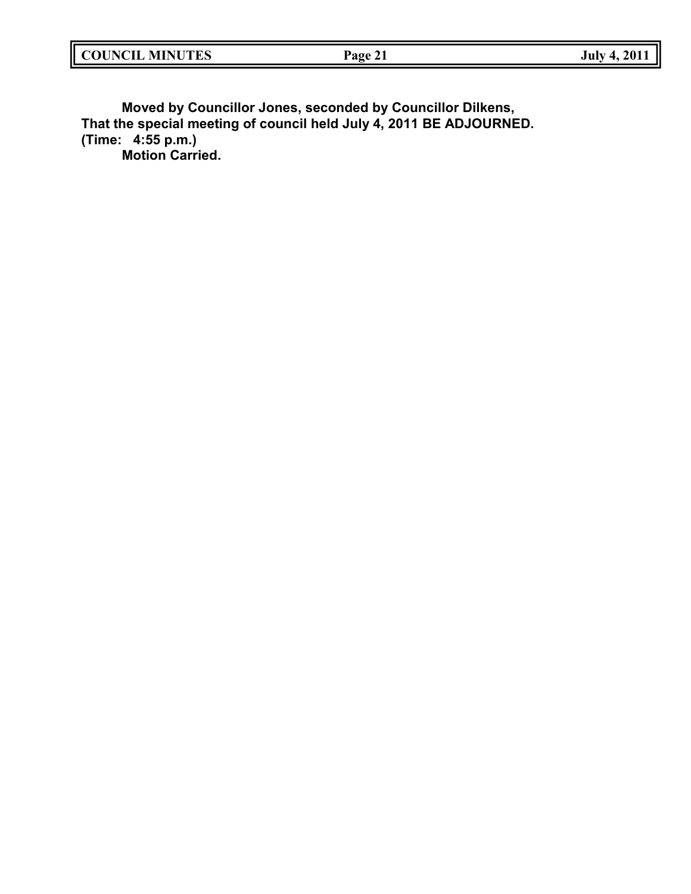| <b>COUNCIL</b><br><b>MINUTES</b> | Page<br>'C 41 | 201<br>July<br>. . |
|----------------------------------|---------------|--------------------|
|                                  |               |                    |

**Moved by Councillor Jones, seconded by Councillor Dilkens, That the special meeting of council held July 4, 2011 BE ADJOURNED. (Time: 4:55 p.m.) Motion Carried.**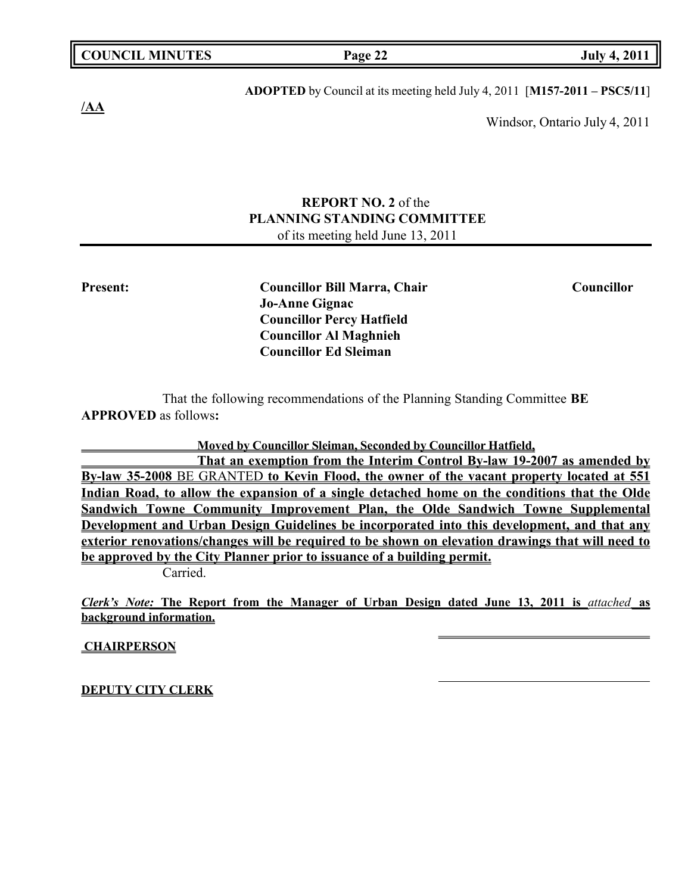| <b>COUNCIL MINUTES</b> |  |  |
|------------------------|--|--|
|------------------------|--|--|

**COUNCIL EXECUTE:** FOR THE **Page** 22 **July 4, 2011** 

**/AA**

**ADOPTED** by Council at its meeting held July 4, 2011 [**M157-2011 – PSC5/11**]

Windsor, Ontario July 4, 2011

# **REPORT NO. 2** of the **PLANNING STANDING COMMITTEE** of its meeting held June 13, 2011

**Present: Councillor Bill Marra, Chair Councillor Jo-Anne Gignac Councillor Percy Hatfield Councillor Al Maghnieh Councillor Ed Sleiman**

That the following recommendations of the Planning Standing Committee **BE APPROVED** as follows**:**

**Moved by Councillor Sleiman, Seconded by Councillor Hatfield,**

**That an exemption from the Interim Control By-law 19-2007 as amended by By-law 35-2008** BE GRANTED **to Kevin Flood, the owner of the vacant property located at 551 Indian Road, to allow the expansion of a single detached home on the conditions that the Olde Sandwich Towne Community Improvement Plan, the Olde Sandwich Towne Supplemental Development and Urban Design Guidelines be incorporated into this development, and that any exterior renovations/changes will be required to be shown on elevation drawings that will need to be approved by the City Planner prior to issuance of a building permit.**

Carried.

*Clerk's Note:* **The Report from the Manager of Urban Design dated June 13, 2011 is** *attached* **as background information.**

**CHAIRPERSON**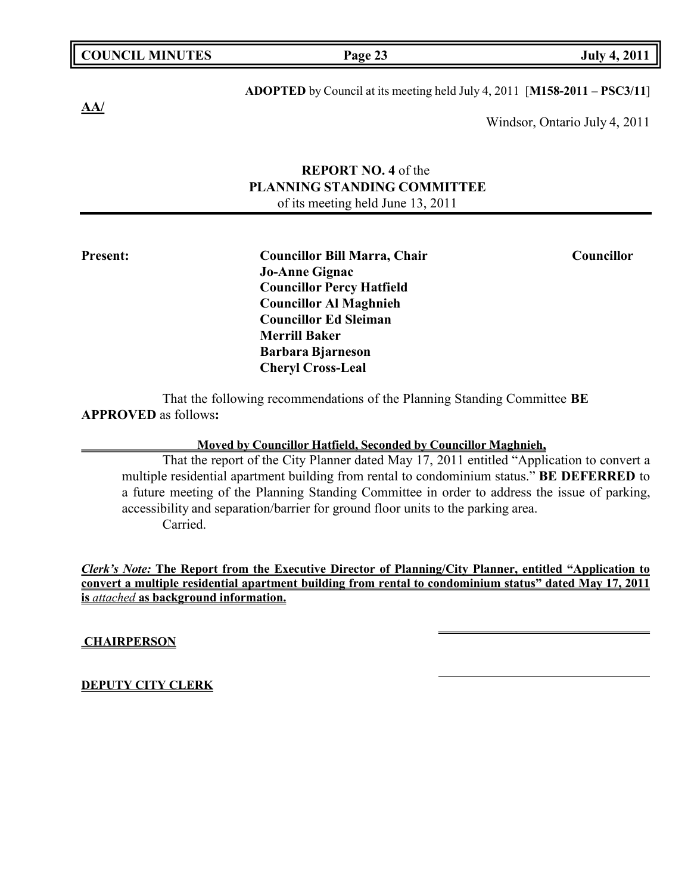# **ADOPTED** by Council at its meeting held July 4, 2011 [**M158-2011 – PSC3/11**]

Windsor, Ontario July 4, 2011

# **REPORT NO. 4** of the **PLANNING STANDING COMMITTEE** of its meeting held June 13, 2011

**Present: Councillor Bill Marra, Chair Councillor Jo-Anne Gignac Councillor Percy Hatfield Councillor Al Maghnieh Councillor Ed Sleiman Merrill Baker Barbara Bjarneson Cheryl Cross-Leal**

That the following recommendations of the Planning Standing Committee **BE APPROVED** as follows**:**

## **Moved by Councillor Hatfield, Seconded by Councillor Maghnieh,**

That the report of the City Planner dated May 17, 2011 entitled "Application to convert a multiple residential apartment building from rental to condominium status." **BE DEFERRED** to a future meeting of the Planning Standing Committee in order to address the issue of parking, accessibility and separation/barrier for ground floor units to the parking area. Carried.

*Clerk's Note:* **The Report from the Executive Director of Planning/City Planner, entitled "Application to convert a multiple residential apartment building from rental to condominium status" dated May 17, 2011 is** *attached* **as background information.**

**CHAIRPERSON**

**DEPUTY CITY CLERK**

**AA/**

**COUNCIL EXECUTE: COUNCIL EXECUTE: Page 23 July 4, 2011**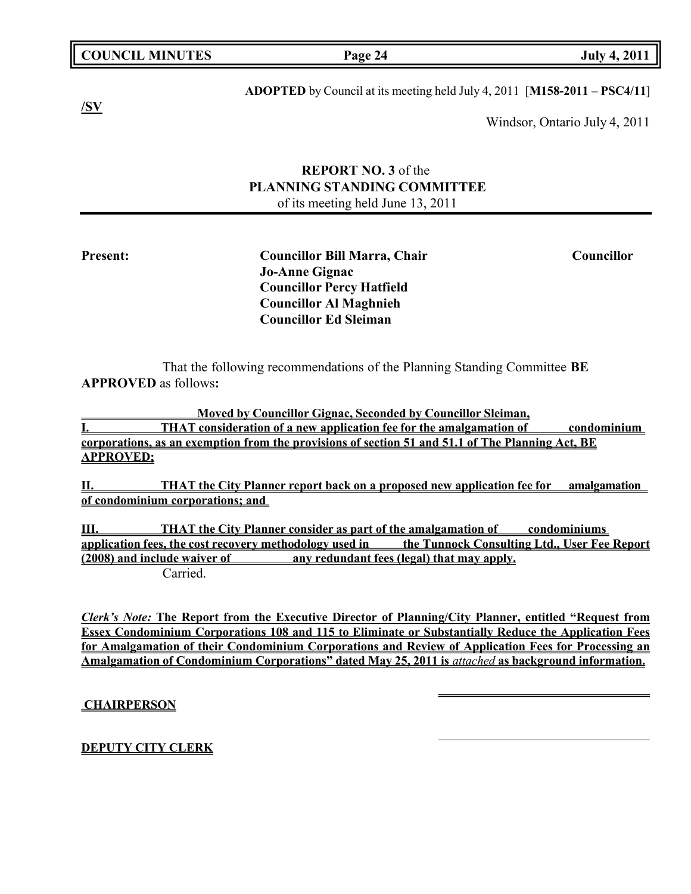|  | <b>COUNCIL MINUTES</b> |
|--|------------------------|
|--|------------------------|

**APPROVED** as follows**:**

# **ADOPTED** by Council at its meeting held July 4, 2011 [**M158-2011 – PSC4/11**]

Windsor, Ontario July 4, 2011

# **REPORT NO. 3** of the **PLANNING STANDING COMMITTEE** of its meeting held June 13, 2011

That the following recommendations of the Planning Standing Committee **BE**

**Councillor Percy Hatfield Councillor Al Maghnieh Councillor Ed Sleiman**

**Moved by Councillor Gignac, Seconded by Councillor Sleiman,**

**I. THAT consideration of a new application fee for the amalgamation of condominium corporations, as an exemption from the provisions of section 51 and 51.1 of The Planning Act, BE APPROVED;**

**II. THAT the City Planner report back on a proposed new application fee for amalgamation of condominium corporations; and**

**III. THAT the City Planner consider as part of the amalgamation of condominiums application fees, the cost recovery methodology used in the Tunnock Consulting Ltd., User Fee Report (2008) and include waiver of any redundant fees (legal) that may apply.** Carried.

*Clerk's Note:* **The Report from the Executive Director of Planning/City Planner, entitled "Request from Essex Condominium Corporations 108 and 115 to Eliminate or Substantially Reduce the Application Fees for Amalgamation of their Condominium Corporations and Review of Application Fees for Processing an Amalgamation of Condominium Corporations" dated May 25, 2011 is** *attached* **as background information.**

**CHAIRPERSON**

# **DEPUTY CITY CLERK**

**Present: Councillor Bill Marra, Chair Councillor Jo-Anne Gignac**

**COUNCIL EXECUTE:** Fig. 2011

**/SV**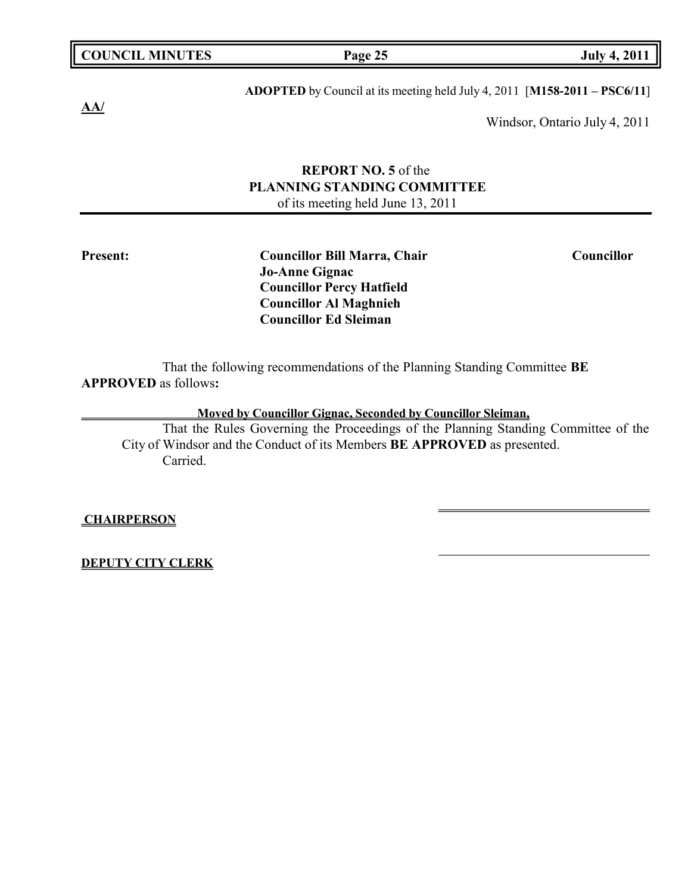|  | <b>COUNCIL MINUTES</b> |
|--|------------------------|
|--|------------------------|

**COUNCIL EXECUTE: COUNCIL EXECUTE: Page 25 July 4, 2011** 

**AA/**

**ADOPTED** by Council at its meeting held July 4, 2011 [**M158-2011 – PSC6/11**]

Windsor, Ontario July 4, 2011

# **REPORT NO. 5** of the **PLANNING STANDING COMMITTEE** of its meeting held June 13, 2011

**Jo-Anne Gignac Councillor Percy Hatfield Councillor Al Maghnieh Councillor Ed Sleiman**

That the following recommendations of the Planning Standing Committee **BE APPROVED** as follows**:**

**Moved by Councillor Gignac, Seconded by Councillor Sleiman,**

That the Rules Governing the Proceedings of the Planning Standing Committee of the City of Windsor and the Conduct of its Members **BE APPROVED** as presented. Carried.

**CHAIRPERSON**

**DEPUTY CITY CLERK**

**Present: Councillor Bill Marra, Chair Councillor**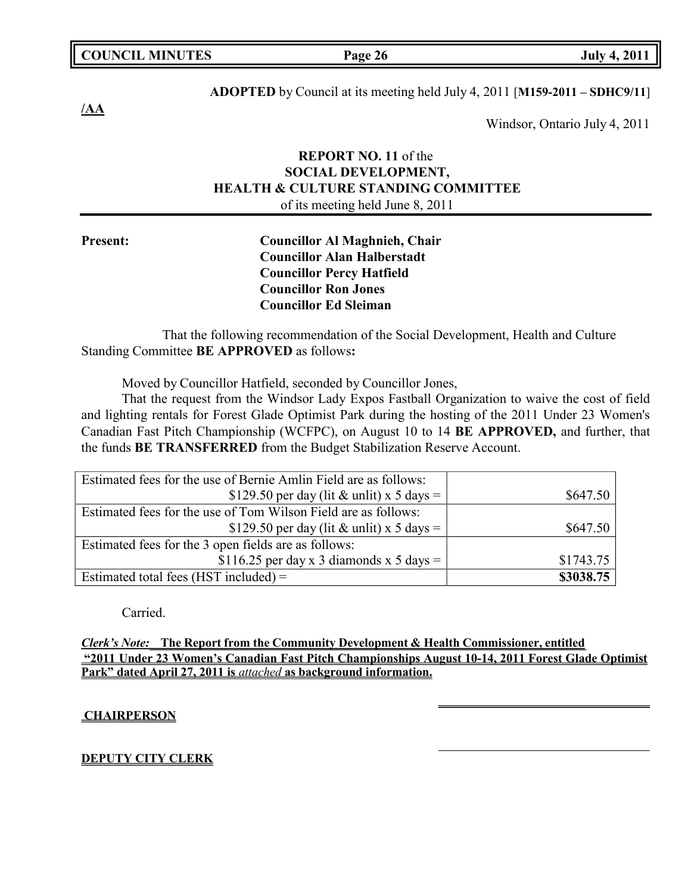|  | <b>COUNCIL MINUTES</b> |  |
|--|------------------------|--|
|--|------------------------|--|

# **ADOPTED** by Council at its meeting held July 4, 2011 [**M159-2011 – SDHC9/11**]

Windsor, Ontario July 4, 2011

# **REPORT NO. 11** of the **SOCIAL DEVELOPMENT, HEALTH & CULTURE STANDING COMMITTEE** of its meeting held June 8, 2011

**Present: Councillor Al Maghnieh, Chair Councillor Alan Halberstadt Councillor Percy Hatfield Councillor Ron Jones Councillor Ed Sleiman**

That the following recommendation of the Social Development, Health and Culture Standing Committee **BE APPROVED** as follows**:**

Moved by Councillor Hatfield, seconded by Councillor Jones,

That the request from the Windsor Lady Expos Fastball Organization to waive the cost of field and lighting rentals for Forest Glade Optimist Park during the hosting of the 2011 Under 23 Women's Canadian Fast Pitch Championship (WCFPC), on August 10 to 14 **BE APPROVED,** and further, that the funds **BE TRANSFERRED** from the Budget Stabilization Reserve Account.

| Estimated fees for the use of Bernie Amlin Field are as follows: |           |
|------------------------------------------------------------------|-----------|
| \$129.50 per day (lit & unlit) x 5 days =                        | \$647.50  |
| Estimated fees for the use of Tom Wilson Field are as follows:   |           |
| \$129.50 per day (lit & unlit) x 5 days =                        | \$647.50  |
| Estimated fees for the 3 open fields are as follows:             |           |
| \$116.25 per day x 3 diamonds x 5 days =                         | \$1743.75 |
| Estimated total fees (HST included) $=$                          | \$3038.75 |

Carried.

*Clerk's Note:* **The Report from the Community Development & Health Commissioner, entitled "2011 Under 23 Women's Canadian Fast Pitch Championships August 10-14, 2011 Forest Glade Optimist Park" dated April 27, 2011 is** *attached* **as background information.**

## **CHAIRPERSON**

# **DEPUTY CITY CLERK**

**/AA**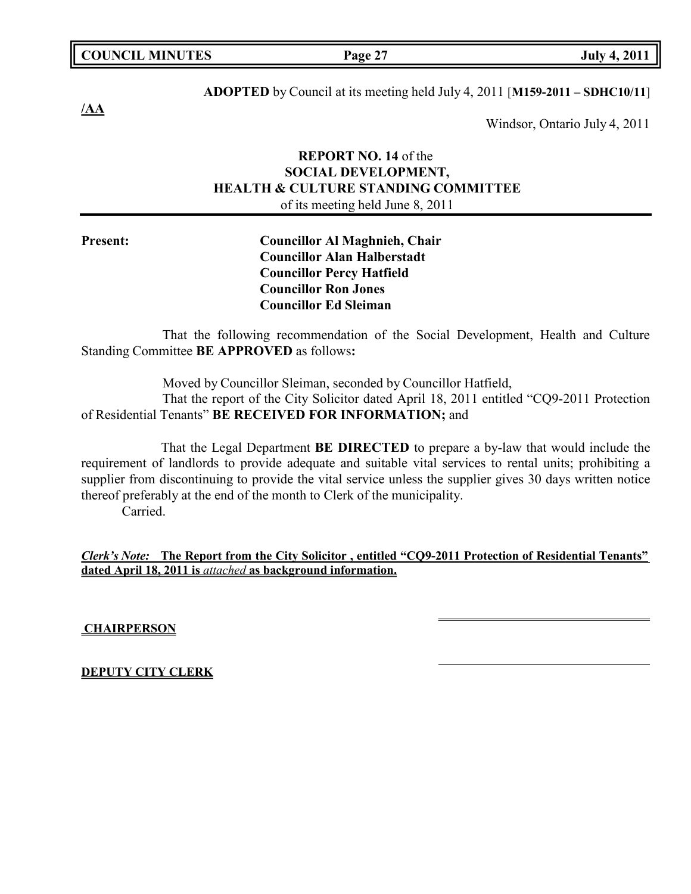# **ADOPTED** by Council at its meeting held July 4, 2011 [**M159-2011 – SDHC10/11**]

Windsor, Ontario July 4, 2011

# **REPORT NO. 14** of the **SOCIAL DEVELOPMENT, HEALTH & CULTURE STANDING COMMITTEE** of its meeting held June 8, 2011

**Present: Councillor Al Maghnieh, Chair Councillor Alan Halberstadt Councillor Percy Hatfield Councillor Ron Jones Councillor Ed Sleiman**

That the following recommendation of the Social Development, Health and Culture Standing Committee **BE APPROVED** as follows**:**

Moved by Councillor Sleiman, seconded by Councillor Hatfield,

That the report of the City Solicitor dated April 18, 2011 entitled "CQ9-2011 Protection of Residential Tenants" **BE RECEIVED FOR INFORMATION;** and

That the Legal Department **BE DIRECTED** to prepare a by-law that would include the requirement of landlords to provide adequate and suitable vital services to rental units; prohibiting a supplier from discontinuing to provide the vital service unless the supplier gives 30 days written notice thereof preferably at the end of the month to Clerk of the municipality.

Carried.

*Clerk's Note:* **The Report from the City Solicitor , entitled "CQ9-2011 Protection of Residential Tenants" dated April 18, 2011 is** *attached* **as background information.**

**CHAIRPERSON**

**DEPUTY CITY CLERK**

**/AA**

**COUNCIL EXECUTE: COUNCIL EXECUTE: Page 27 July 4, 2011**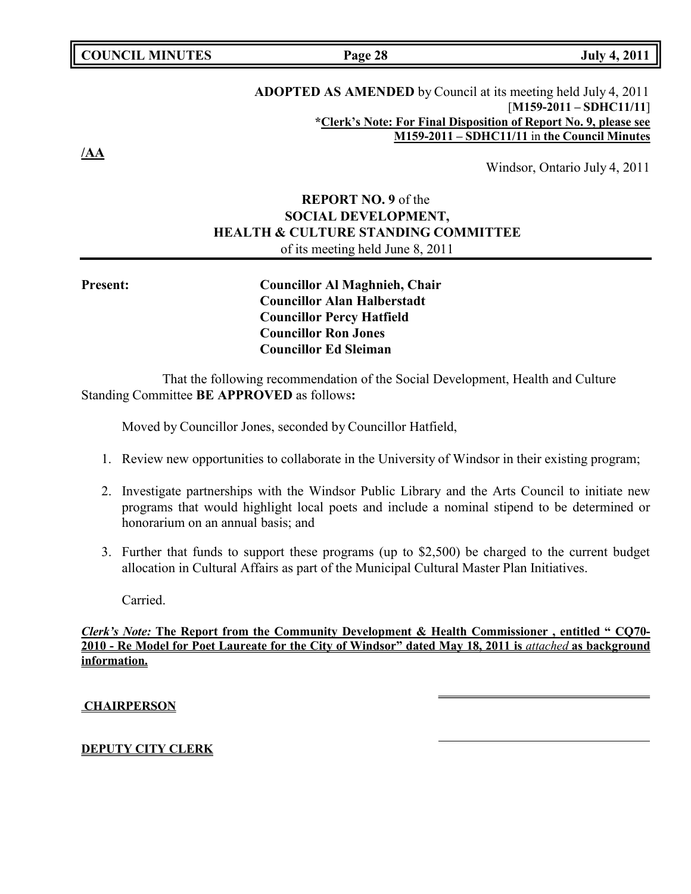# **COUNCIL MINUTES Page 28 July 4, 2011**

# **ADOPTED AS AMENDED** by Council at its meeting held July 4, 2011 [**M159-2011 – SDHC11/11**] **\*Clerk's Note: For Final Disposition of Report No. 9, please see M159-2011 – SDHC11/11** in **the Council Minutes**

Windsor, Ontario July 4, 2011

# **REPORT NO. 9** of the **SOCIAL DEVELOPMENT, HEALTH & CULTURE STANDING COMMITTEE** of its meeting held June 8, 2011

**Present: Councillor Al Maghnieh, Chair Councillor Alan Halberstadt Councillor Percy Hatfield Councillor Ron Jones Councillor Ed Sleiman**

That the following recommendation of the Social Development, Health and Culture Standing Committee **BE APPROVED** as follows**:**

Moved by Councillor Jones, seconded by Councillor Hatfield,

- 1. Review new opportunities to collaborate in the University of Windsor in their existing program;
- 2. Investigate partnerships with the Windsor Public Library and the Arts Council to initiate new programs that would highlight local poets and include a nominal stipend to be determined or honorarium on an annual basis; and
- 3. Further that funds to support these programs (up to \$2,500) be charged to the current budget allocation in Cultural Affairs as part of the Municipal Cultural Master Plan Initiatives.

Carried.

*Clerk's Note:* **The Report from the Community Development & Health Commissioner , entitled " CQ70- 2010 - Re Model for Poet Laureate for the City of Windsor" dated May 18, 2011 is** *attached* **as background information.**

## **CHAIRPERSON**

## **DEPUTY CITY CLERK**

**/AA**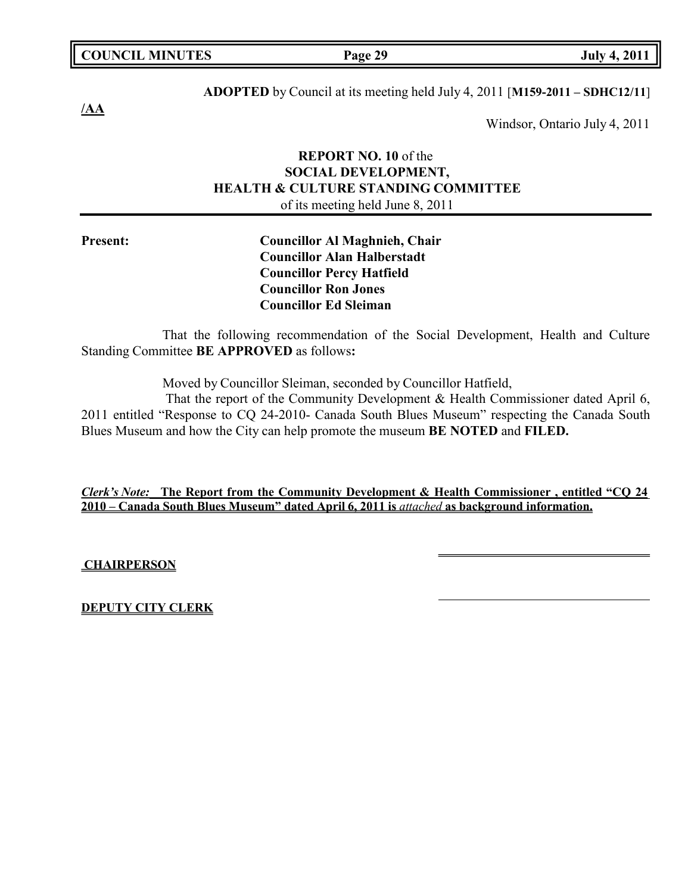# **ADOPTED** by Council at its meeting held July 4, 2011 [**M159-2011 – SDHC12/11**]

Windsor, Ontario July 4, 2011

# **REPORT NO. 10** of the **SOCIAL DEVELOPMENT, HEALTH & CULTURE STANDING COMMITTEE** of its meeting held June 8, 2011

**Present: Councillor Al Maghnieh, Chair Councillor Alan Halberstadt Councillor Percy Hatfield Councillor Ron Jones Councillor Ed Sleiman**

That the following recommendation of the Social Development, Health and Culture Standing Committee **BE APPROVED** as follows**:**

Moved by Councillor Sleiman, seconded by Councillor Hatfield,

That the report of the Community Development & Health Commissioner dated April 6, 2011 entitled "Response to CQ 24-2010- Canada South Blues Museum" respecting the Canada South Blues Museum and how the City can help promote the museum **BE NOTED** and **FILED.**

*Clerk's Note:* **The Report from the Community Development & Health Commissioner , entitled "CQ 24 2010 – Canada South Blues Museum" dated April 6, 2011 is** *attached* **as background information.**

**CHAIRPERSON**

**DEPUTY CITY CLERK**

**COUNCIL EXECUTE: COUNCIL EXECUTE: Page 29 July 4, 2011** 

**/AA**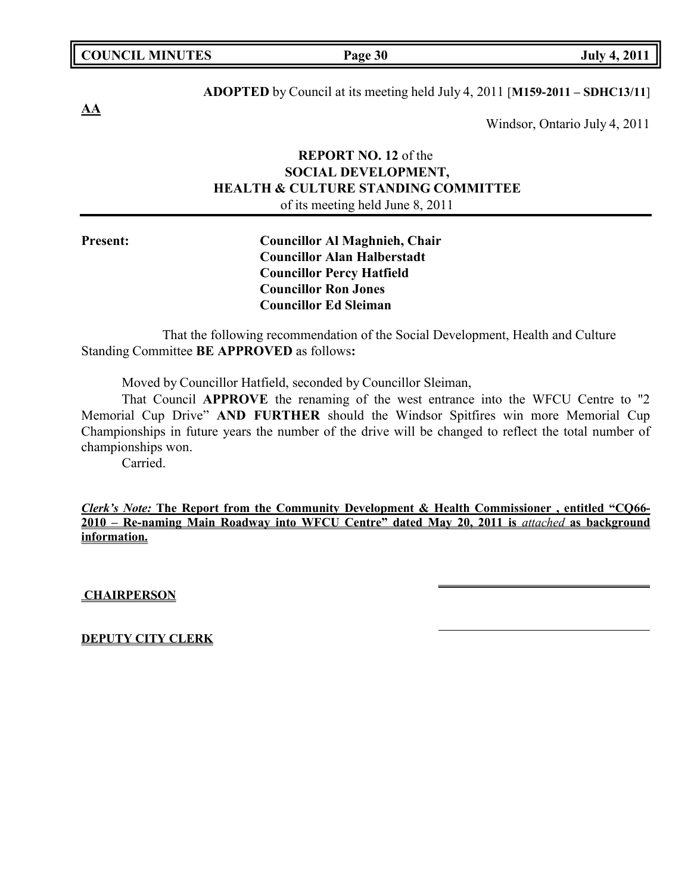| <b>COUNCIL MINUTES</b> | Page 30 | <b>July 4, 2011</b> |
|------------------------|---------|---------------------|
|                        |         |                     |

**AA**

**ADOPTED** by Council at its meeting held July 4, 2011 [**M159-2011 – SDHC13/11**]

Windsor, Ontario July 4, 2011

# **REPORT NO. 12** of the **SOCIAL DEVELOPMENT, HEALTH & CULTURE STANDING COMMITTEE** of its meeting held June 8, 2011

**Present: Councillor Al Maghnieh, Chair Councillor Alan Halberstadt Councillor Percy Hatfield Councillor Ron Jones Councillor Ed Sleiman**

That the following recommendation of the Social Development, Health and Culture Standing Committee **BE APPROVED** as follows**:**

Moved by Councillor Hatfield, seconded by Councillor Sleiman,

That Council **APPROVE** the renaming of the west entrance into the WFCU Centre to "2 Memorial Cup Drive" **AND FURTHER** should the Windsor Spitfires win more Memorial Cup Championships in future years the number of the drive will be changed to reflect the total number of championships won.

Carried.

*Clerk's Note:* **The Report from the Community Development & Health Commissioner , entitled "CQ66- 2010 – Re-naming Main Roadway into WFCU Centre" dated May 20, 2011 is** *attached* **as background information.**

**CHAIRPERSON**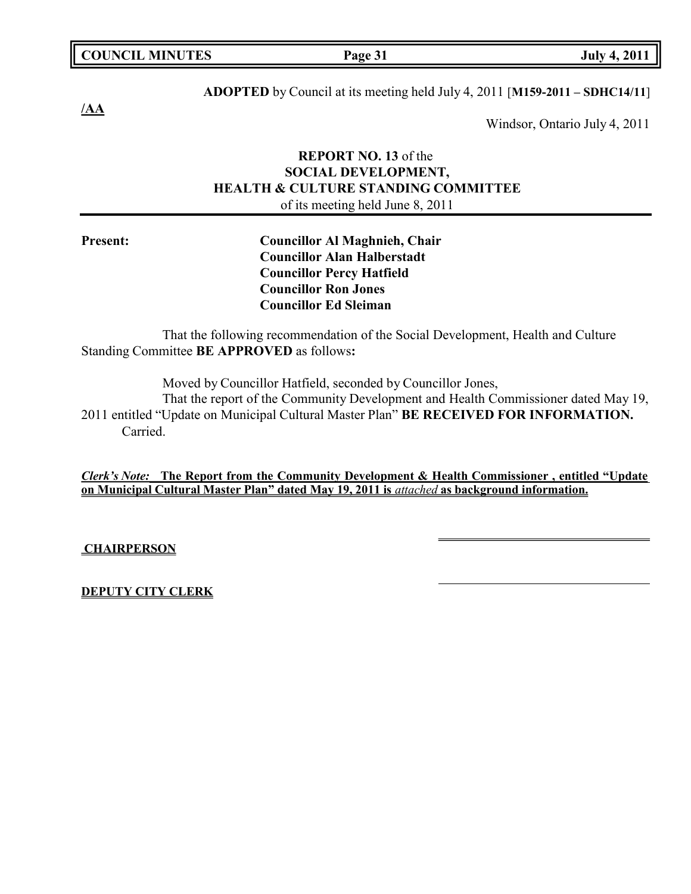# **ADOPTED** by Council at its meeting held July 4, 2011 [**M159-2011 – SDHC14/11**]

Windsor, Ontario July 4, 2011

# **REPORT NO. 13** of the **SOCIAL DEVELOPMENT, HEALTH & CULTURE STANDING COMMITTEE** of its meeting held June 8, 2011

**/AA**

**Councillor Alan Halberstadt Councillor Percy Hatfield Councillor Ron Jones Councillor Ed Sleiman**

That the following recommendation of the Social Development, Health and Culture Standing Committee **BE APPROVED** as follows**:**

Moved by Councillor Hatfield, seconded by Councillor Jones,

That the report of the Community Development and Health Commissioner dated May 19, 2011 entitled "Update on Municipal Cultural Master Plan" **BE RECEIVED FOR INFORMATION.** Carried.

*Clerk's Note:* **The Report from the Community Development & Health Commissioner , entitled "Update on Municipal Cultural Master Plan" dated May 19, 2011 is** *attached* **as background information.**

# **CHAIRPERSON**

# **DEPUTY CITY CLERK**

# **Present: Councillor Al Maghnieh, Chair**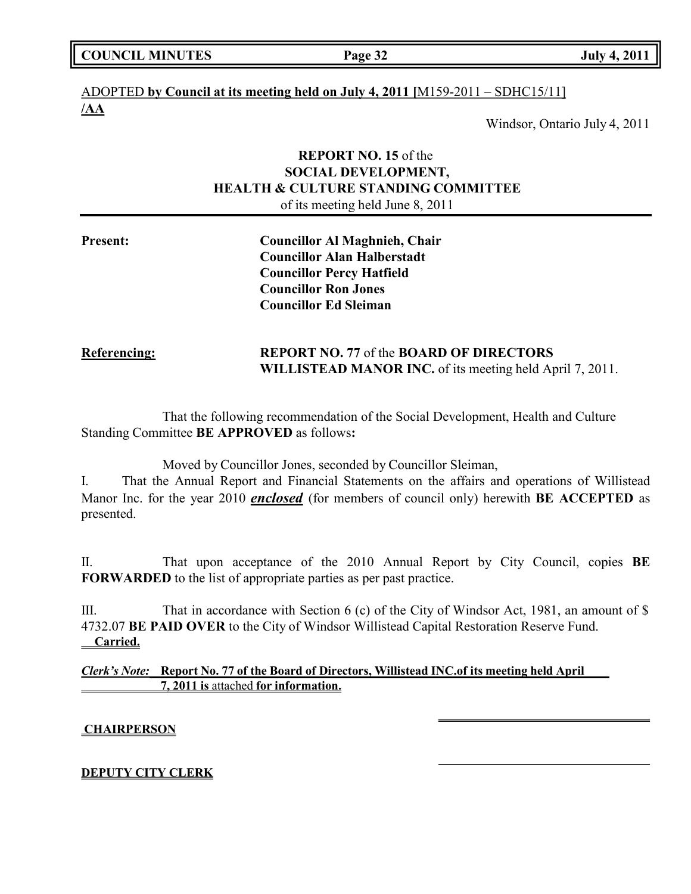| <b>COUNCIL MINUTES</b> |  |
|------------------------|--|
|------------------------|--|

**COUNCIL COUNCIL COUNCIL Page 32 July 4, 2011** 

# ADOPTED **by Council at its meeting held on July 4, 2011 [**M159-2011 – SDHC15/11] **/AA**

Windsor, Ontario July 4, 2011

# **REPORT NO. 15** of the **SOCIAL DEVELOPMENT, HEALTH & CULTURE STANDING COMMITTEE** of its meeting held June 8, 2011

| <b>Present:</b> | <b>Councillor Al Maghnieh, Chair</b> |
|-----------------|--------------------------------------|
|                 | <b>Councillor Alan Halberstadt</b>   |
|                 | <b>Councillor Percy Hatfield</b>     |
|                 | <b>Councillor Ron Jones</b>          |
|                 | <b>Councillor Ed Sleiman</b>         |
|                 |                                      |

# **Referencing: REPORT NO. 77** of the **BOARD OF DIRECTORS WILLISTEAD MANOR INC.** of its meeting held April 7, 2011.

That the following recommendation of the Social Development, Health and Culture Standing Committee **BE APPROVED** as follows**:**

Moved by Councillor Jones, seconded by Councillor Sleiman,

I. That the Annual Report and Financial Statements on the affairs and operations of Willistead Manor Inc. for the year 2010 *enclosed* (for members of council only) herewith **BE ACCEPTED** as presented.

II. That upon acceptance of the 2010 Annual Report by City Council, copies **BE FORWARDED** to the list of appropriate parties as per past practice.

III. That in accordance with Section 6 (c) of the City of Windsor Act, 1981, an amount of \$ 4732.07 **BE PAID OVER** to the City of Windsor Willistead Capital Restoration Reserve Fund.  **Carried.**

*Clerk's Note:* **Report No. 77 of the Board of Directors, Willistead INC.of its meeting held April 7, 2011 is** attached **for information.**

# **CHAIRPERSON**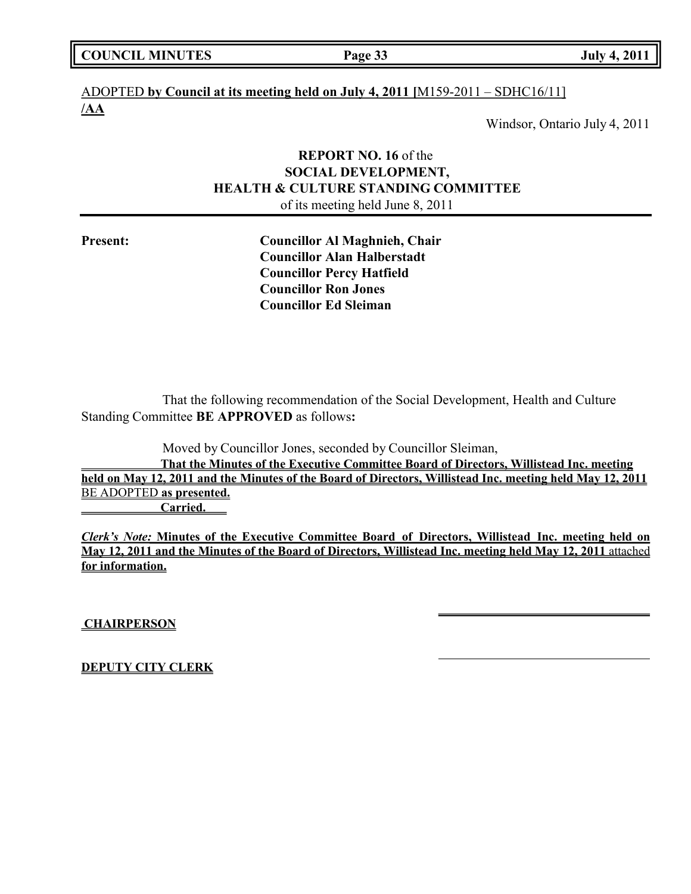|  | <b>COUNCIL MINUTES</b> |
|--|------------------------|
|--|------------------------|

**COUNCIL COUNCIL COUNCIL Page 33 July 4, 2011** 

# ADOPTED **by Council at its meeting held on July 4, 2011 [**M159-2011 – SDHC16/11] **/AA**

Windsor, Ontario July 4, 2011

# **REPORT NO. 16** of the **SOCIAL DEVELOPMENT, HEALTH & CULTURE STANDING COMMITTEE** of its meeting held June 8, 2011

**Present: Councillor Al Maghnieh, Chair Councillor Alan Halberstadt Councillor Percy Hatfield Councillor Ron Jones Councillor Ed Sleiman**

That the following recommendation of the Social Development, Health and Culture Standing Committee **BE APPROVED** as follows**:**

Moved by Councillor Jones, seconded by Councillor Sleiman,

**That the Minutes of the Executive Committee Board of Directors, Willistead Inc. meeting held on May 12, 2011 and the Minutes of the Board of Directors, Willistead Inc. meeting held May 12, 2011** BE ADOPTED **as presented. Carried.**

*Clerk's Note:* **Minutes of the Executive Committee Board of Directors, Willistead Inc. meeting held on May 12, 2011 and the Minutes of the Board of Directors, Willistead Inc. meeting held May 12, 2011** attached **for information.**

**CHAIRPERSON**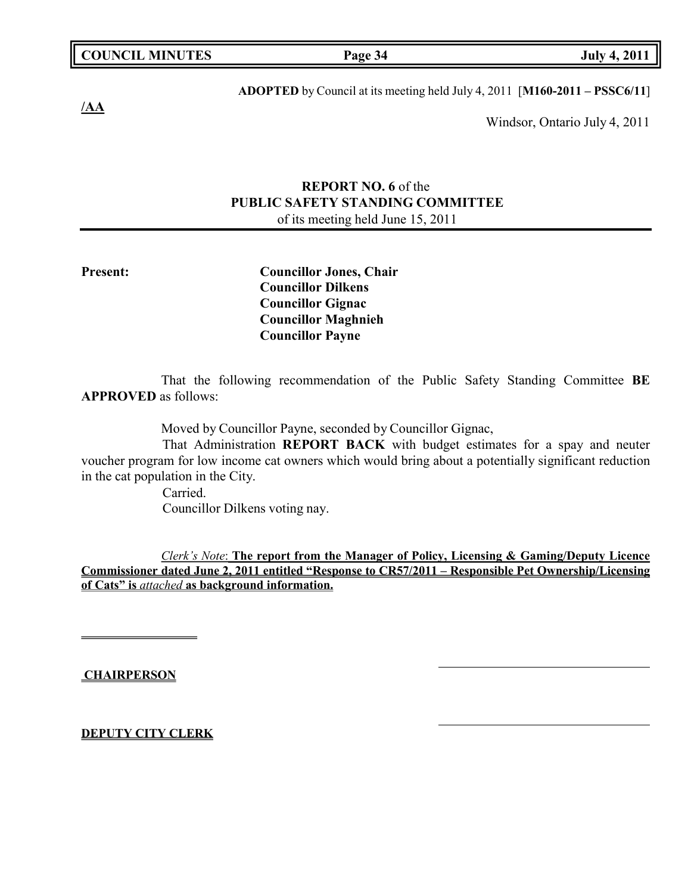**COUNCIL EXECUTE: COUNCIL EXECUTE: Page 34 July 4, 2011** 

**/AA**

**ADOPTED** by Council at its meeting held July 4, 2011 [**M160-2011 – PSSC6/11**]

Windsor, Ontario July 4, 2011

# **REPORT NO. 6** of the **PUBLIC SAFETY STANDING COMMITTEE** of its meeting held June 15, 2011

**Present: Councillor Jones, Chair Councillor Dilkens Councillor Gignac Councillor Maghnieh Councillor Payne**

That the following recommendation of the Public Safety Standing Committee **BE APPROVED** as follows:

Moved by Councillor Payne, seconded by Councillor Gignac,

That Administration **REPORT BACK** with budget estimates for a spay and neuter voucher program for low income cat owners which would bring about a potentially significant reduction in the cat population in the City.

Carried. Councillor Dilkens voting nay.

*Clerk's Note*: **The report from the Manager of Policy, Licensing & Gaming/Deputy Licence Commissioner dated June 2, 2011 entitled "Response to CR57/2011 – Responsible Pet Ownership/Licensing of Cats" is** *attached* **as background information.**

**CHAIRPERSON**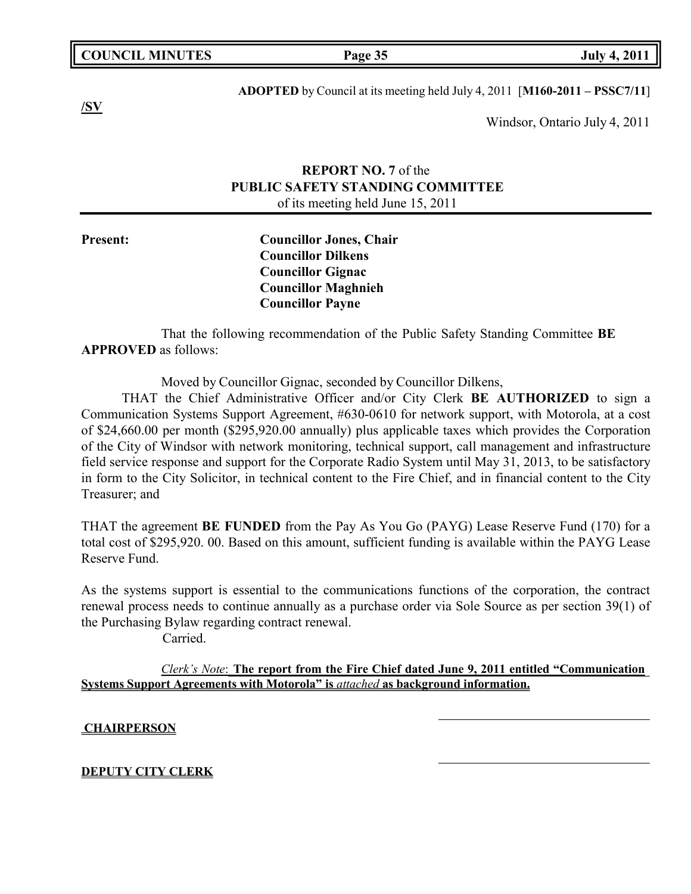**COUNCIL EXECUTE: COUNCIL EXECUTE: Page 35 July 4, 2011** 

**/SV**

**ADOPTED** by Council at its meeting held July 4, 2011 [**M160-2011 – PSSC7/11**]

Windsor, Ontario July 4, 2011

# **REPORT NO. 7** of the **PUBLIC SAFETY STANDING COMMITTEE** of its meeting held June 15, 2011

**Present: Councillor Jones, Chair Councillor Dilkens Councillor Gignac Councillor Maghnieh Councillor Payne**

That the following recommendation of the Public Safety Standing Committee **BE APPROVED** as follows:

Moved by Councillor Gignac, seconded by Councillor Dilkens,

THAT the Chief Administrative Officer and/or City Clerk **BE AUTHORIZED** to sign a Communication Systems Support Agreement, #630-0610 for network support, with Motorola, at a cost of \$24,660.00 per month (\$295,920.00 annually) plus applicable taxes which provides the Corporation of the City of Windsor with network monitoring, technical support, call management and infrastructure field service response and support for the Corporate Radio System until May 31, 2013, to be satisfactory in form to the City Solicitor, in technical content to the Fire Chief, and in financial content to the City Treasurer; and

THAT the agreement **BE FUNDED** from the Pay As You Go (PAYG) Lease Reserve Fund (170) for a total cost of \$295,920. 00. Based on this amount, sufficient funding is available within the PAYG Lease Reserve Fund.

As the systems support is essential to the communications functions of the corporation, the contract renewal process needs to continue annually as a purchase order via Sole Source as per section 39(1) of the Purchasing Bylaw regarding contract renewal.

Carried.

*Clerk's Note*: **The report from the Fire Chief dated June 9, 2011 entitled "Communication Systems Support Agreements with Motorola" is** *attached* **as background information.**

## **CHAIRPERSON**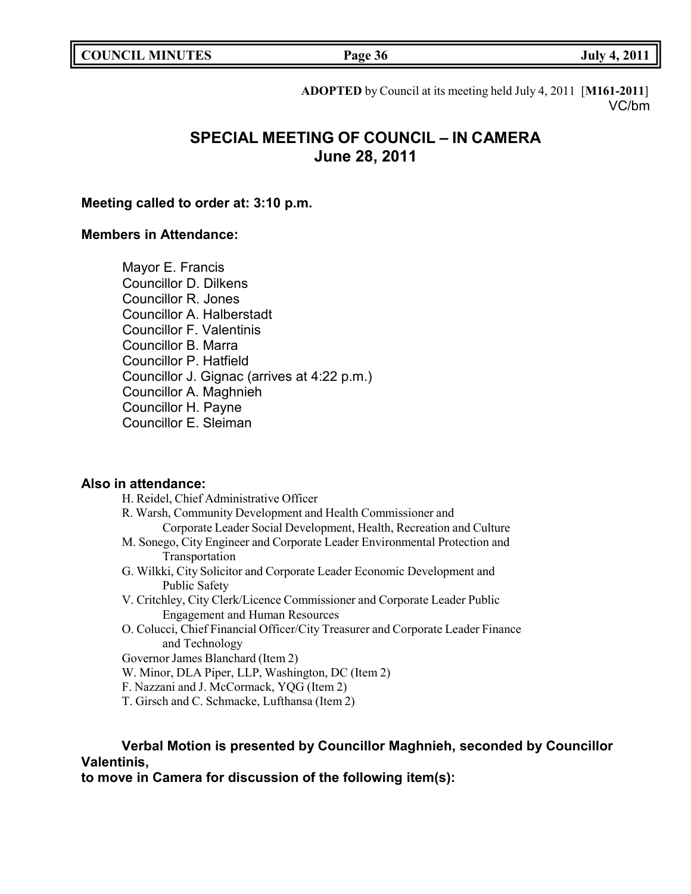| <b>COUNCIL MINUTES</b> |  |
|------------------------|--|
|------------------------|--|

**COUNCIL EXECUTE: COUNCIL EXECUTE: Page 36 July 4, 2011** 

**ADOPTED** by Council at its meeting held July 4, 2011 [**M161-2011**] VC/bm

# **SPECIAL MEETING OF COUNCIL – IN CAMERA June 28, 2011**

# **Meeting called to order at: 3:10 p.m.**

# **Members in Attendance:**

Mayor E. Francis Councillor D. Dilkens Councillor R. Jones Councillor A. Halberstadt Councillor F. Valentinis Councillor B. Marra Councillor P. Hatfield Councillor J. Gignac (arrives at 4:22 p.m.) Councillor A. Maghnieh Councillor H. Payne Councillor E. Sleiman

# **Also in attendance:**

- H. Reidel, Chief Administrative Officer
- R. Warsh, Community Development and Health Commissioner and Corporate Leader Social Development, Health, Recreation and Culture M. Sonego, City Engineer and Corporate Leader Environmental Protection and
- Transportation
- G. Wilkki, City Solicitor and Corporate Leader Economic Development and Public Safety
- V. Critchley, City Clerk/Licence Commissioner and Corporate Leader Public Engagement and Human Resources
- O. Colucci, Chief Financial Officer/City Treasurer and Corporate Leader Finance and Technology

Governor James Blanchard (Item 2)

- W. Minor, DLA Piper, LLP, Washington, DC (Item 2)
- F. Nazzani and J. McCormack, YQG (Item 2)
- T. Girsch and C. Schmacke, Lufthansa (Item 2)

# **Verbal Motion is presented by Councillor Maghnieh, seconded by Councillor Valentinis,**

**to move in Camera for discussion of the following item(s):**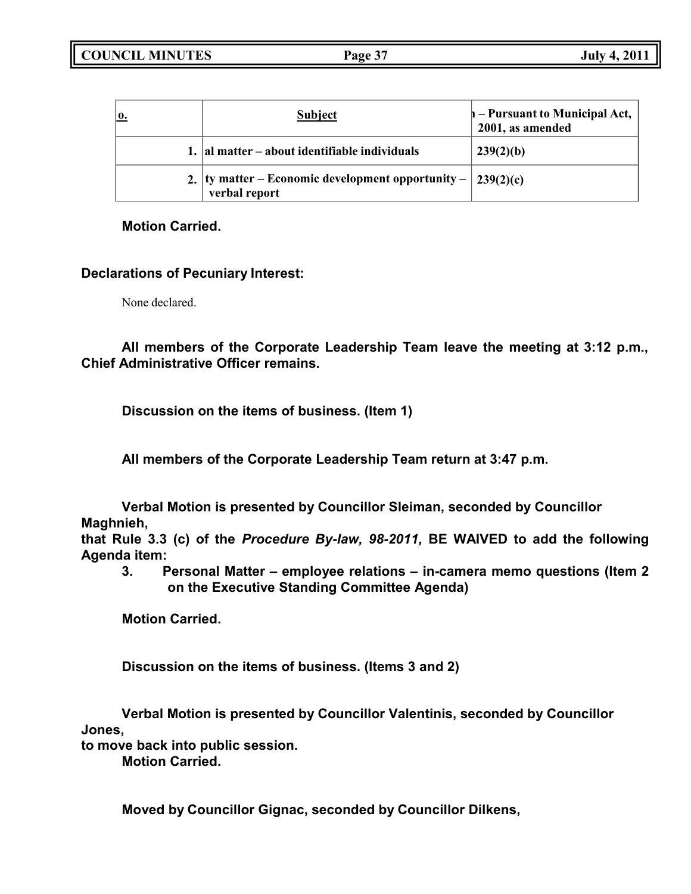| $\mathbf{0}$ . | <b>Subject</b>                                                                    | $\mathbf{h}$ – Pursuant to Municipal Act,<br>2001, as amended |
|----------------|-----------------------------------------------------------------------------------|---------------------------------------------------------------|
|                | 1. al matter – about identifiable individuals                                     | 239(2)(b)                                                     |
|                | 2.  ty matter – Economic development opportunity – $ 239(2)(c) $<br>verbal report |                                                               |

**Motion Carried.**

# **Declarations of Pecuniary Interest:**

None declared.

**All members of the Corporate Leadership Team leave the meeting at 3:12 p.m., Chief Administrative Officer remains.**

**Discussion on the items of business. (Item 1)**

**All members of the Corporate Leadership Team return at 3:47 p.m.**

**Verbal Motion is presented by Councillor Sleiman, seconded by Councillor Maghnieh,**

**that Rule 3.3 (c) of the** *Procedure By-law, 98-2011,* **BE WAIVED to add the following Agenda item:**

**3. Personal Matter – employee relations – in-camera memo questions (Item 2 on the Executive Standing Committee Agenda)**

**Motion Carried.**

**Discussion on the items of business. (Items 3 and 2)**

**Verbal Motion is presented by Councillor Valentinis, seconded by Councillor Jones,**

**to move back into public session.**

**Motion Carried.**

**Moved by Councillor Gignac, seconded by Councillor Dilkens,**